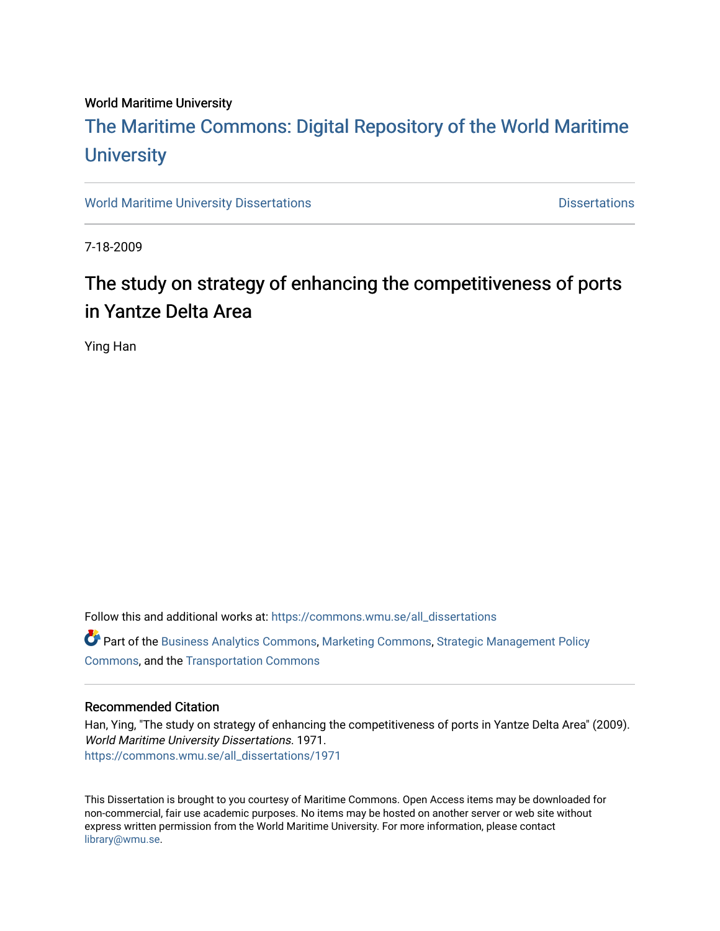#### World Maritime University

# [The Maritime Commons: Digital Repository of the World Maritime](https://commons.wmu.se/)  **University**

[World Maritime University Dissertations](https://commons.wmu.se/all_dissertations) **Distributions** [Dissertations](https://commons.wmu.se/dissertations) Dissertations

7-18-2009

# The study on strategy of enhancing the competitiveness of ports in Yantze Delta Area

Ying Han

Follow this and additional works at: [https://commons.wmu.se/all\\_dissertations](https://commons.wmu.se/all_dissertations?utm_source=commons.wmu.se%2Fall_dissertations%2F1971&utm_medium=PDF&utm_campaign=PDFCoverPages) 

Part of the [Business Analytics Commons](http://network.bepress.com/hgg/discipline/1398?utm_source=commons.wmu.se%2Fall_dissertations%2F1971&utm_medium=PDF&utm_campaign=PDFCoverPages), [Marketing Commons](http://network.bepress.com/hgg/discipline/638?utm_source=commons.wmu.se%2Fall_dissertations%2F1971&utm_medium=PDF&utm_campaign=PDFCoverPages), [Strategic Management Policy](http://network.bepress.com/hgg/discipline/642?utm_source=commons.wmu.se%2Fall_dissertations%2F1971&utm_medium=PDF&utm_campaign=PDFCoverPages)  [Commons](http://network.bepress.com/hgg/discipline/642?utm_source=commons.wmu.se%2Fall_dissertations%2F1971&utm_medium=PDF&utm_campaign=PDFCoverPages), and the [Transportation Commons](http://network.bepress.com/hgg/discipline/1068?utm_source=commons.wmu.se%2Fall_dissertations%2F1971&utm_medium=PDF&utm_campaign=PDFCoverPages)

#### Recommended Citation

Han, Ying, "The study on strategy of enhancing the competitiveness of ports in Yantze Delta Area" (2009). World Maritime University Dissertations. 1971. [https://commons.wmu.se/all\\_dissertations/1971](https://commons.wmu.se/all_dissertations/1971?utm_source=commons.wmu.se%2Fall_dissertations%2F1971&utm_medium=PDF&utm_campaign=PDFCoverPages)

This Dissertation is brought to you courtesy of Maritime Commons. Open Access items may be downloaded for non-commercial, fair use academic purposes. No items may be hosted on another server or web site without express written permission from the World Maritime University. For more information, please contact [library@wmu.se](mailto:library@wmu.edu).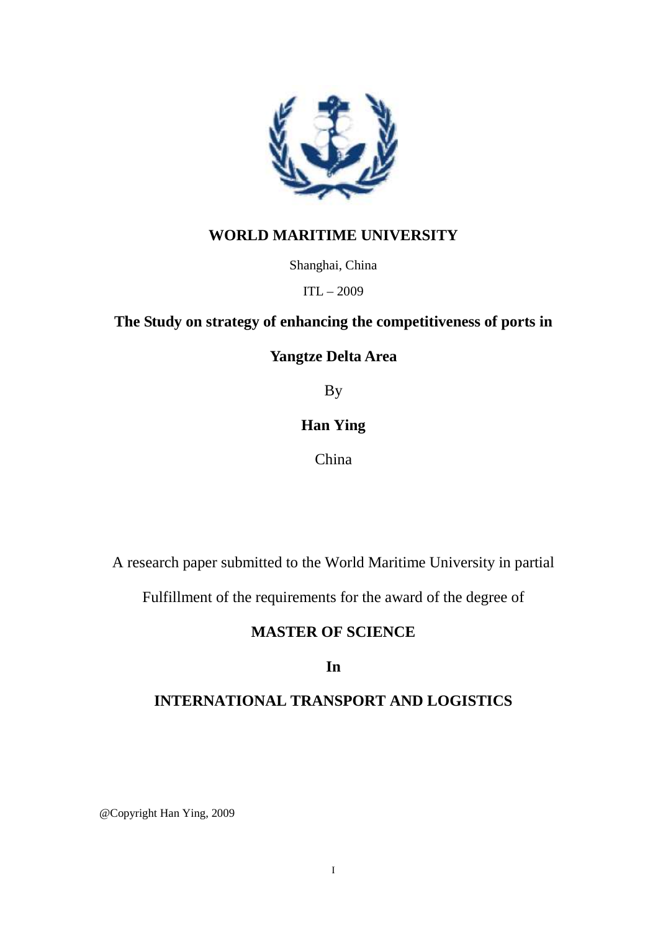

### **WORLD MARITIME UNIVERSITY**

Shanghai, China

ITL – 2009

### **The Study on strategy of enhancing the competitiveness of ports in**

**Yangtze Delta Area** 

By

## **Han Ying**

China

A research paper submitted to the World Maritime University in partial

Fulfillment of the requirements for the award of the degree of

### **MASTER OF SCIENCE**

**In** 

## **INTERNATIONAL TRANSPORT AND LOGISTICS**

@Copyright Han Ying, 2009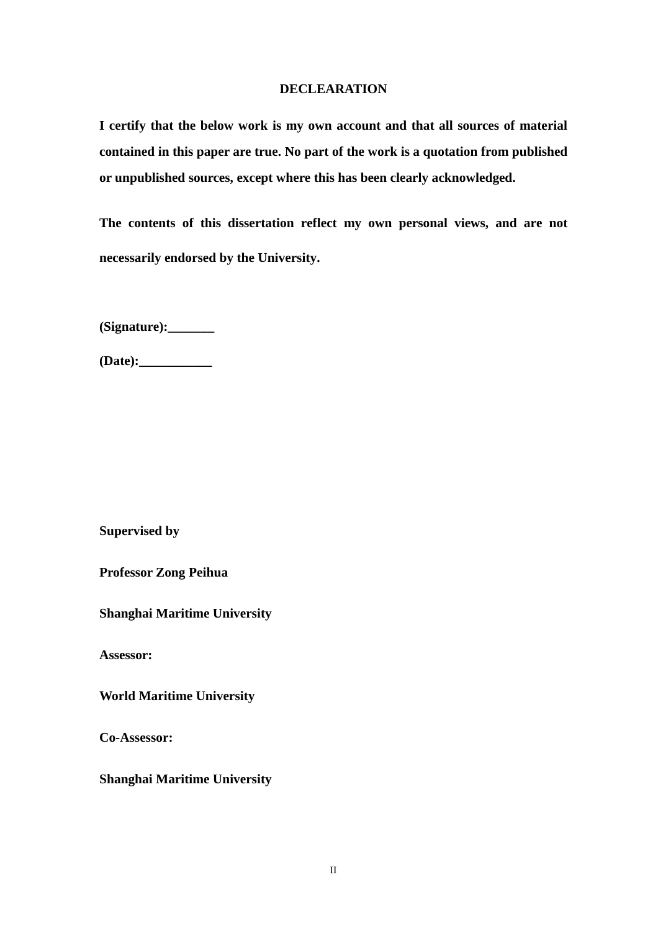#### **DECLEARATION**

**I certify that the below work is my own account and that all sources of material contained in this paper are true. No part of the work is a quotation from published or unpublished sources, except where this has been clearly acknowledged.** 

**The contents of this dissertation reflect my own personal views, and are not necessarily endorsed by the University.** 

**(Signature):\_\_\_\_\_\_\_** 

**(Date):\_\_\_\_\_\_\_\_\_\_\_** 

**Supervised by** 

**Professor Zong Peihua** 

**Shanghai Maritime University** 

**Assessor:** 

**World Maritime University** 

**Co-Assessor:** 

**Shanghai Maritime University**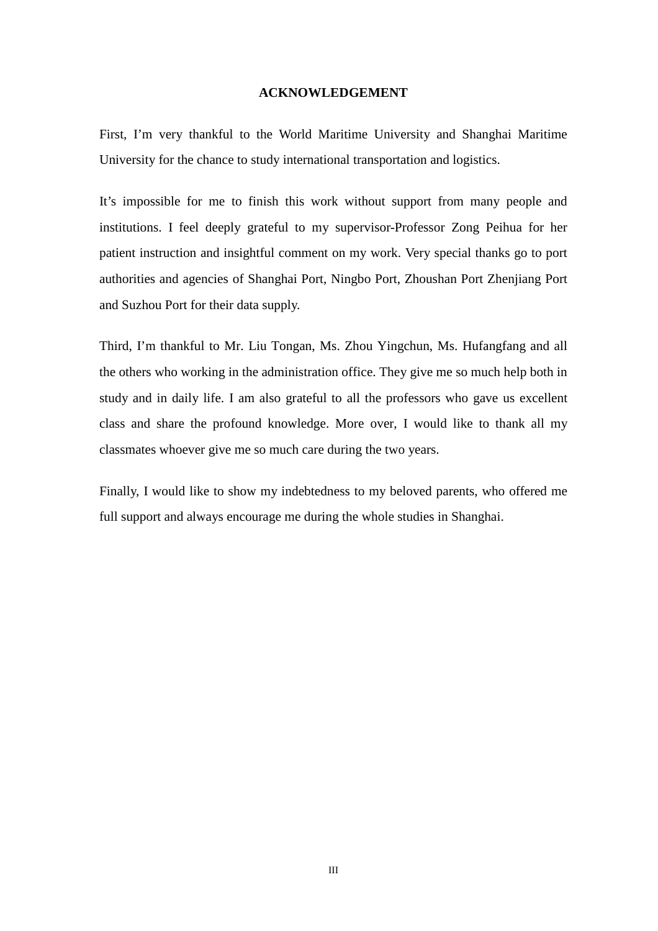#### **ACKNOWLEDGEMENT**

First, I'm very thankful to the World Maritime University and Shanghai Maritime University for the chance to study international transportation and logistics.

It's impossible for me to finish this work without support from many people and institutions. I feel deeply grateful to my supervisor-Professor Zong Peihua for her patient instruction and insightful comment on my work. Very special thanks go to port authorities and agencies of Shanghai Port, Ningbo Port, Zhoushan Port Zhenjiang Port and Suzhou Port for their data supply.

Third, I'm thankful to Mr. Liu Tongan, Ms. Zhou Yingchun, Ms. Hufangfang and all the others who working in the administration office. They give me so much help both in study and in daily life. I am also grateful to all the professors who gave us excellent class and share the profound knowledge. More over, I would like to thank all my classmates whoever give me so much care during the two years.

Finally, I would like to show my indebtedness to my beloved parents, who offered me full support and always encourage me during the whole studies in Shanghai.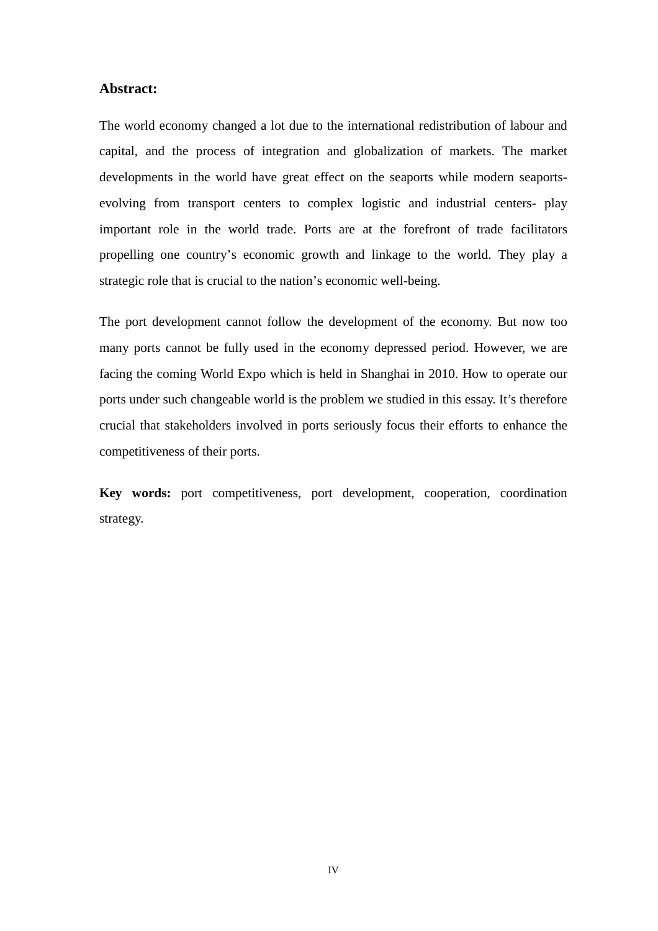#### **Abstract:**

The world economy changed a lot due to the international redistribution of labour and capital, and the process of integration and globalization of markets. The market developments in the world have great effect on the seaports while modern seaportsevolving from transport centers to complex logistic and industrial centers- play important role in the world trade. Ports are at the forefront of trade facilitators propelling one country's economic growth and linkage to the world. They play a strategic role that is crucial to the nation's economic well-being.

The port development cannot follow the development of the economy. But now too many ports cannot be fully used in the economy depressed period. However, we are facing the coming World Expo which is held in Shanghai in 2010. How to operate our ports under such changeable world is the problem we studied in this essay. It's therefore crucial that stakeholders involved in ports seriously focus their efforts to enhance the competitiveness of their ports.

**Key words:** port competitiveness, port development, cooperation, coordination strategy.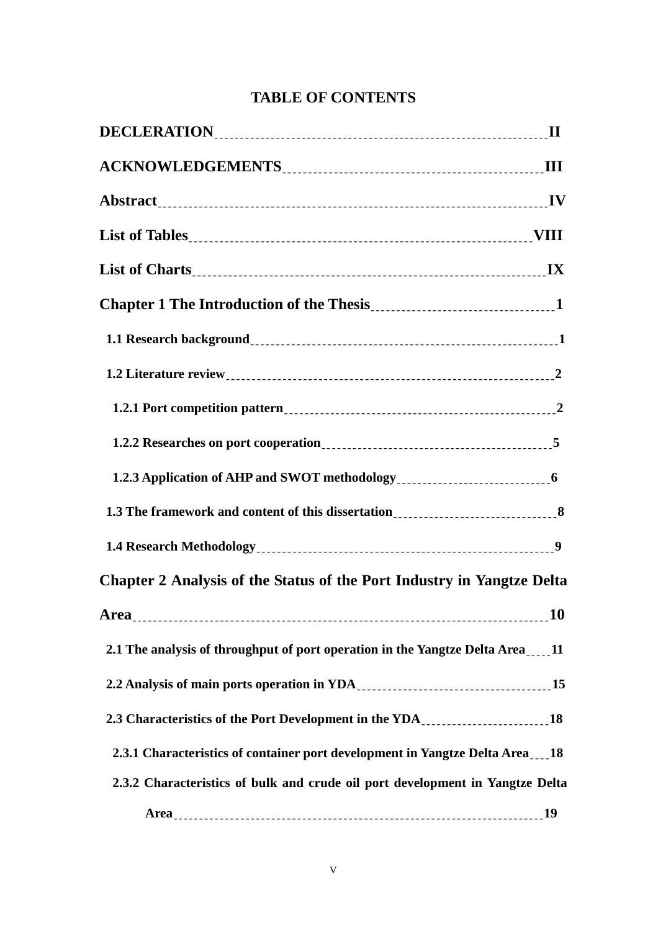## **TABLE OF CONTENTS**

| 1.2.3 Application of AHP and SWOT methodology<br>1.2.3 Application of AHP and SWOT methodology<br>1.2.3 Application of AHP and SWOT methodology<br>1.2.3 Application of AHP and SWOT methodology<br>1.2.3 Application of AHP and SWOT |           |
|---------------------------------------------------------------------------------------------------------------------------------------------------------------------------------------------------------------------------------------|-----------|
| 1.3 The framework and content of this dissertation<br>1.3 The framework and content of this dissertation<br>1.3 The framework and content of this dissertation                                                                        |           |
|                                                                                                                                                                                                                                       |           |
| Chapter 2 Analysis of the Status of the Port Industry in Yangtze Delta                                                                                                                                                                |           |
| <b>Area</b>                                                                                                                                                                                                                           | <b>10</b> |
| 2.1 The analysis of throughput of port operation in the Yangtze Delta Area11                                                                                                                                                          |           |
| 2.2 Analysis of main ports operation in YDA<br>15                                                                                                                                                                                     |           |
| 2.3 Characteristics of the Port Development in the YDA<br>18                                                                                                                                                                          |           |
| 2.3.1 Characteristics of container port development in Yangtze Delta Area18                                                                                                                                                           |           |
| 2.3.2 Characteristics of bulk and crude oil port development in Yangtze Delta                                                                                                                                                         |           |
|                                                                                                                                                                                                                                       |           |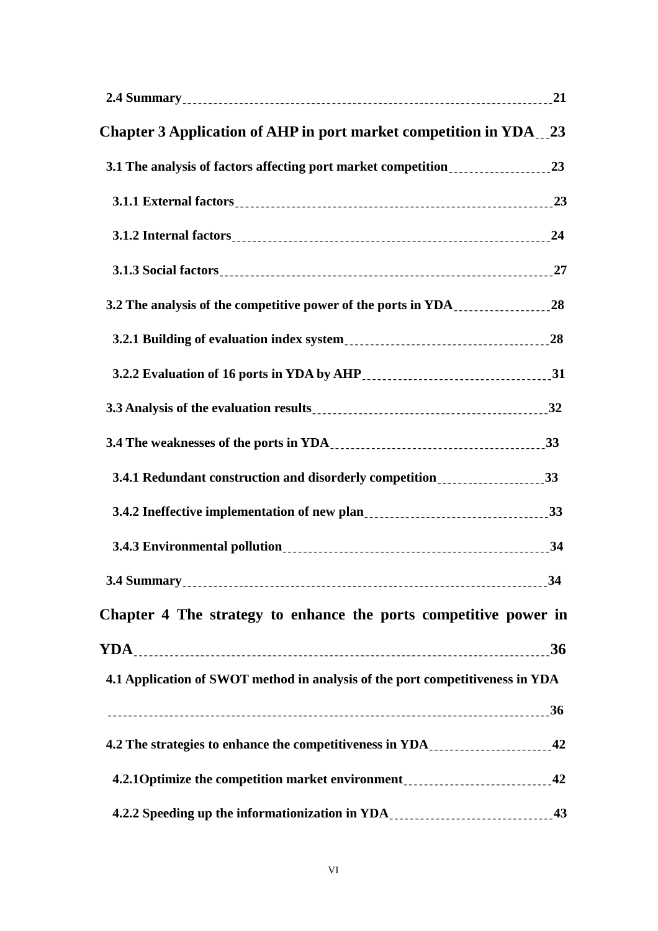| Chapter 3 Application of AHP in port market competition in YDA__23                                                                                                                                                                |    |
|-----------------------------------------------------------------------------------------------------------------------------------------------------------------------------------------------------------------------------------|----|
| 3.1 The analysis of factors affecting port market competition___________________23                                                                                                                                                |    |
|                                                                                                                                                                                                                                   |    |
|                                                                                                                                                                                                                                   |    |
|                                                                                                                                                                                                                                   |    |
| 3.2 The analysis of the competitive power of the ports in YDA__________________28                                                                                                                                                 |    |
| 3.2.1 Building of evaluation index system<br>1988. The magnetic material contracts and the system in the system in the system of the system in the system in the system of the system of the system of the system in the system o |    |
|                                                                                                                                                                                                                                   |    |
| 3.3 Analysis of the evaluation results<br>1932 - The Contract Parameter and San Division of the evaluation of the evaluation of the evaluation of the evaluation of the evaluation of the evaluation of the evaluation of the eva |    |
|                                                                                                                                                                                                                                   |    |
| 3.4.1 Redundant construction and disorderly competition________________________33                                                                                                                                                 |    |
|                                                                                                                                                                                                                                   |    |
|                                                                                                                                                                                                                                   |    |
|                                                                                                                                                                                                                                   | 34 |
| Chapter 4 The strategy to enhance the ports competitive power in                                                                                                                                                                  |    |
|                                                                                                                                                                                                                                   |    |
| 4.1 Application of SWOT method in analysis of the port competitiveness in YDA                                                                                                                                                     |    |
|                                                                                                                                                                                                                                   |    |
| 4.2 The strategies to enhance the competitiveness in YDA ______________________42                                                                                                                                                 |    |
| 4.2.1 Optimize the competition market environment<br>12.1 Optimize the competition market environment                                                                                                                             |    |
| 4.2.2 Speeding up the informationization in YDA _______________________________43                                                                                                                                                 |    |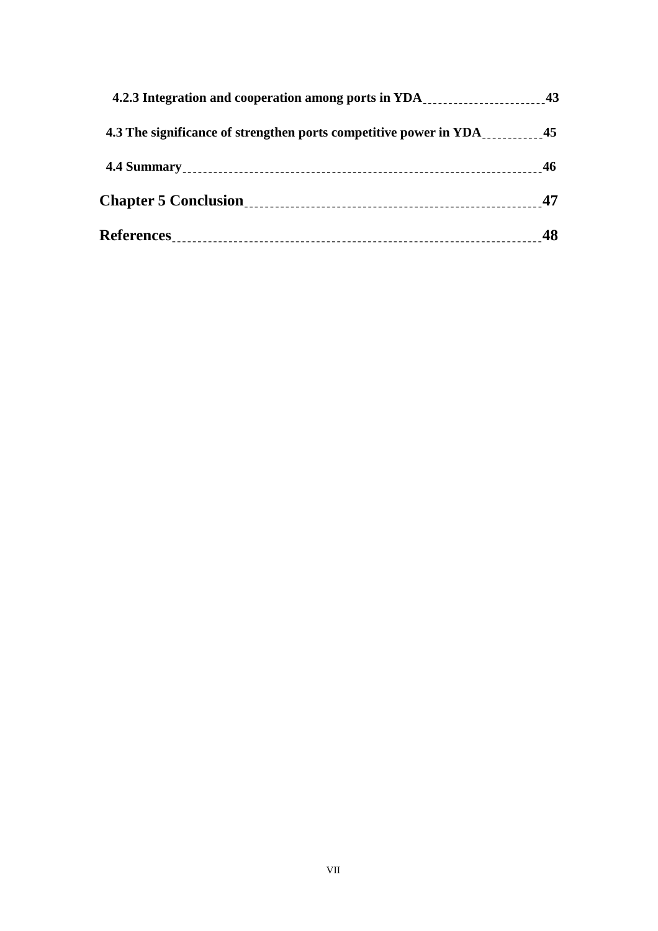| 4.3 The significance of strengthen ports competitive power in YDA |    |
|-------------------------------------------------------------------|----|
|                                                                   |    |
|                                                                   | 47 |
|                                                                   |    |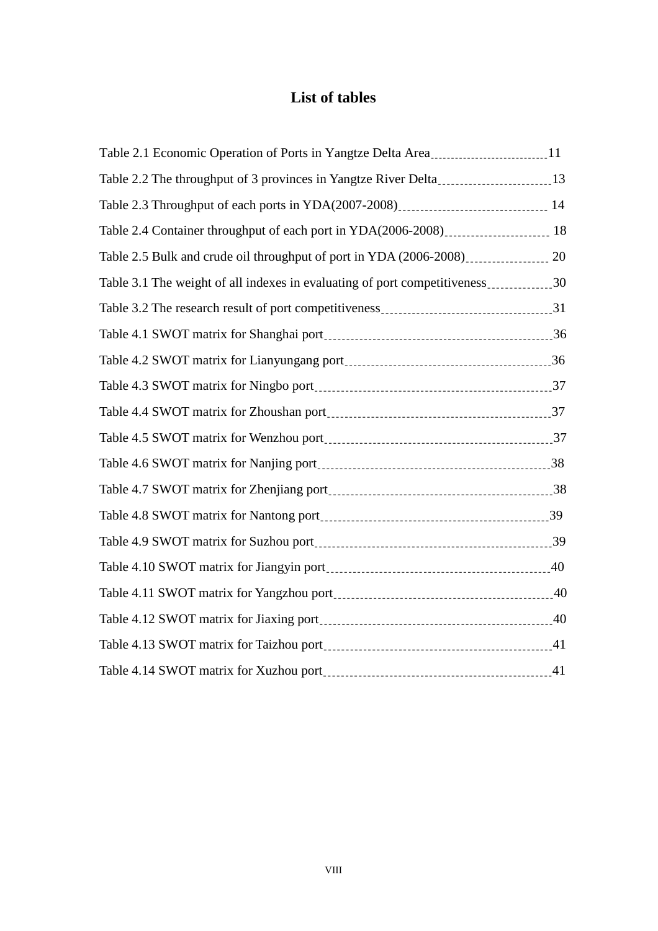# **List of tables**

| Table 2.1 Economic Operation of Ports in Yangtze Delta Area <sub>------------------------------</sub> 11 |  |
|----------------------------------------------------------------------------------------------------------|--|
| Table 2.2 The throughput of 3 provinces in Yangtze River Delta____________________13                     |  |
| Table 2.3 Throughput of each ports in YDA(2007-2008)<br>14                                               |  |
| Table 2.4 Container throughput of each port in YDA(2006-2008)____________________ 18                     |  |
|                                                                                                          |  |
| Table 3.1 The weight of all indexes in evaluating of port competitiveness30                              |  |
| Table 3.2 The research result of port competitiveness ________________________________31                 |  |
|                                                                                                          |  |
|                                                                                                          |  |
|                                                                                                          |  |
|                                                                                                          |  |
|                                                                                                          |  |
|                                                                                                          |  |
|                                                                                                          |  |
|                                                                                                          |  |
|                                                                                                          |  |
|                                                                                                          |  |
|                                                                                                          |  |
|                                                                                                          |  |
|                                                                                                          |  |
|                                                                                                          |  |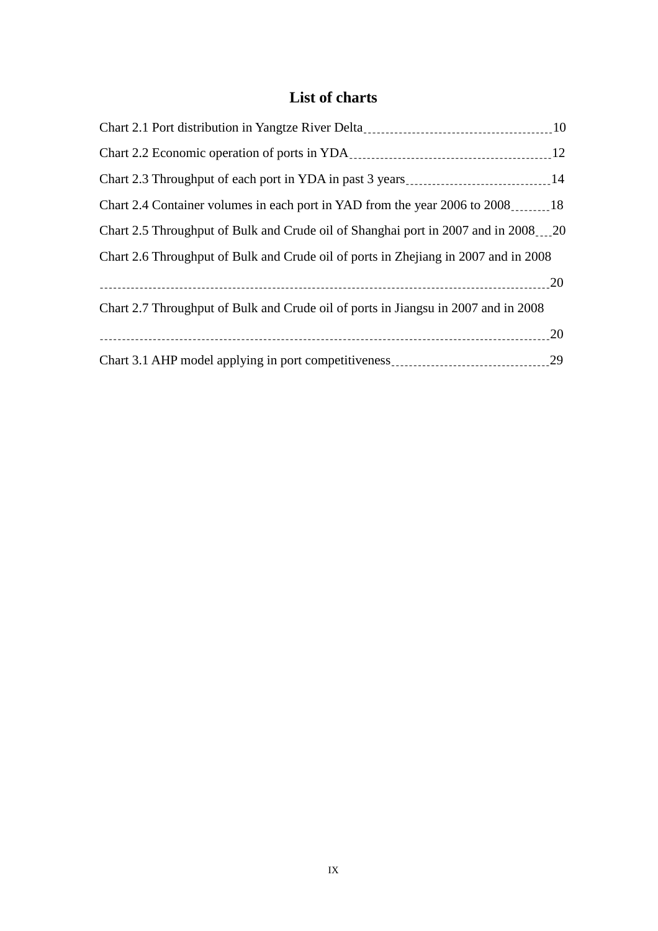# **List of charts**

| Chart 2.4 Container volumes in each port in YAD from the year 2006 to 2008.                        |  |
|----------------------------------------------------------------------------------------------------|--|
| Chart 2.5 Throughput of Bulk and Crude oil of Shanghai port in 2007 and in 2008 <sub>111</sub> .20 |  |
| Chart 2.6 Throughput of Bulk and Crude oil of ports in Zhejiang in 2007 and in 2008                |  |
|                                                                                                    |  |
| Chart 2.7 Throughput of Bulk and Crude oil of ports in Jiangsu in 2007 and in 2008                 |  |
|                                                                                                    |  |
| Chart 3.1 AHP model applying in port competitiveness ____________________________29                |  |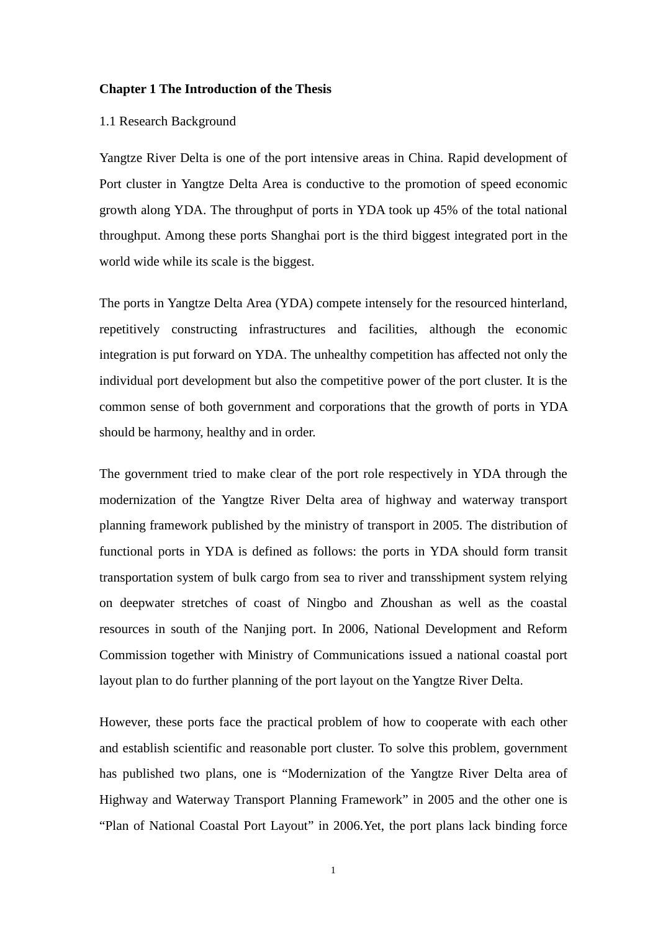#### **Chapter 1 The Introduction of the Thesis**

#### 1.1 Research Background

Yangtze River Delta is one of the port intensive areas in China. Rapid development of Port cluster in Yangtze Delta Area is conductive to the promotion of speed economic growth along YDA. The throughput of ports in YDA took up 45% of the total national throughput. Among these ports Shanghai port is the third biggest integrated port in the world wide while its scale is the biggest.

The ports in Yangtze Delta Area (YDA) compete intensely for the resourced hinterland, repetitively constructing infrastructures and facilities, although the economic integration is put forward on YDA. The unhealthy competition has affected not only the individual port development but also the competitive power of the port cluster. It is the common sense of both government and corporations that the growth of ports in YDA should be harmony, healthy and in order.

The government tried to make clear of the port role respectively in YDA through the modernization of the Yangtze River Delta area of highway and waterway transport planning framework published by the ministry of transport in 2005. The distribution of functional ports in YDA is defined as follows: the ports in YDA should form transit transportation system of bulk cargo from sea to river and transshipment system relying on deepwater stretches of coast of Ningbo and Zhoushan as well as the coastal resources in south of the Nanjing port. In 2006, National Development and Reform Commission together with Ministry of Communications issued a national coastal port layout plan to do further planning of the port layout on the Yangtze River Delta.

However, these ports face the practical problem of how to cooperate with each other and establish scientific and reasonable port cluster. To solve this problem, government has published two plans, one is "Modernization of the Yangtze River Delta area of Highway and Waterway Transport Planning Framework" in 2005 and the other one is "Plan of National Coastal Port Layout" in 2006.Yet, the port plans lack binding force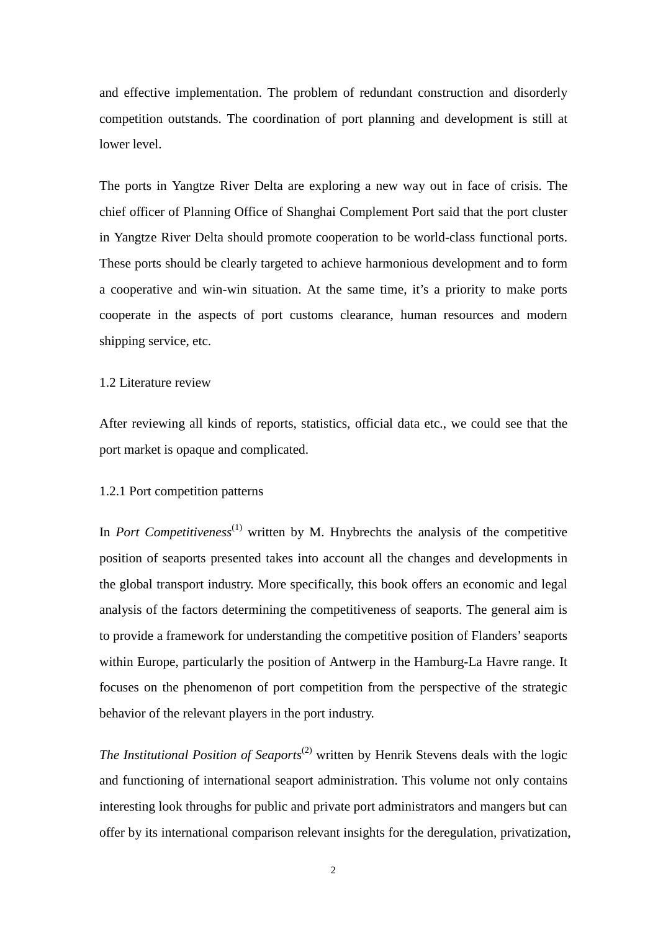and effective implementation. The problem of redundant construction and disorderly competition outstands. The coordination of port planning and development is still at lower level.

The ports in Yangtze River Delta are exploring a new way out in face of crisis. The chief officer of Planning Office of Shanghai Complement Port said that the port cluster in Yangtze River Delta should promote cooperation to be world-class functional ports. These ports should be clearly targeted to achieve harmonious development and to form a cooperative and win-win situation. At the same time, it's a priority to make ports cooperate in the aspects of port customs clearance, human resources and modern shipping service, etc.

#### 1.2 Literature review

After reviewing all kinds of reports, statistics, official data etc., we could see that the port market is opaque and complicated.

#### 1.2.1 Port competition patterns

In *Port Competitiveness*<sup>(1)</sup> written by M. Hnybrechts the analysis of the competitive position of seaports presented takes into account all the changes and developments in the global transport industry. More specifically, this book offers an economic and legal analysis of the factors determining the competitiveness of seaports. The general aim is to provide a framework for understanding the competitive position of Flanders' seaports within Europe, particularly the position of Antwerp in the Hamburg-La Havre range. It focuses on the phenomenon of port competition from the perspective of the strategic behavior of the relevant players in the port industry.

*The Institutional Position of Seaports*<sup>(2)</sup> written by Henrik Stevens deals with the logic and functioning of international seaport administration. This volume not only contains interesting look throughs for public and private port administrators and mangers but can offer by its international comparison relevant insights for the deregulation, privatization,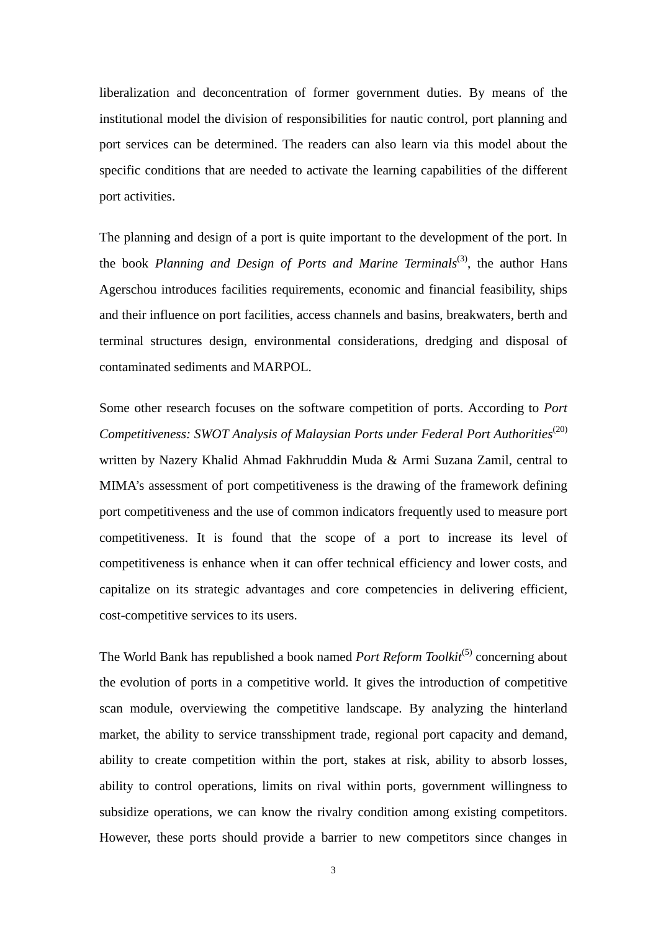liberalization and deconcentration of former government duties. By means of the institutional model the division of responsibilities for nautic control, port planning and port services can be determined. The readers can also learn via this model about the specific conditions that are needed to activate the learning capabilities of the different port activities.

The planning and design of a port is quite important to the development of the port. In the book *Planning and Design of Ports and Marine Terminals*<sup>(3)</sup>, the author Hans Agerschou introduces facilities requirements, economic and financial feasibility, ships and their influence on port facilities, access channels and basins, breakwaters, berth and terminal structures design, environmental considerations, dredging and disposal of contaminated sediments and MARPOL.

Some other research focuses on the software competition of ports. According to *Port Competitiveness: SWOT Analysis of Malaysian Ports under Federal Port Authorities*<sup>(20)</sup> written by Nazery Khalid Ahmad Fakhruddin Muda & Armi Suzana Zamil, central to MIMA's assessment of port competitiveness is the drawing of the framework defining port competitiveness and the use of common indicators frequently used to measure port competitiveness. It is found that the scope of a port to increase its level of competitiveness is enhance when it can offer technical efficiency and lower costs, and capitalize on its strategic advantages and core competencies in delivering efficient, cost-competitive services to its users.

The World Bank has republished a book named *Port Reform Toolkit*<sup>(5)</sup> concerning about the evolution of ports in a competitive world. It gives the introduction of competitive scan module, overviewing the competitive landscape. By analyzing the hinterland market, the ability to service transshipment trade, regional port capacity and demand, ability to create competition within the port, stakes at risk, ability to absorb losses, ability to control operations, limits on rival within ports, government willingness to subsidize operations, we can know the rivalry condition among existing competitors. However, these ports should provide a barrier to new competitors since changes in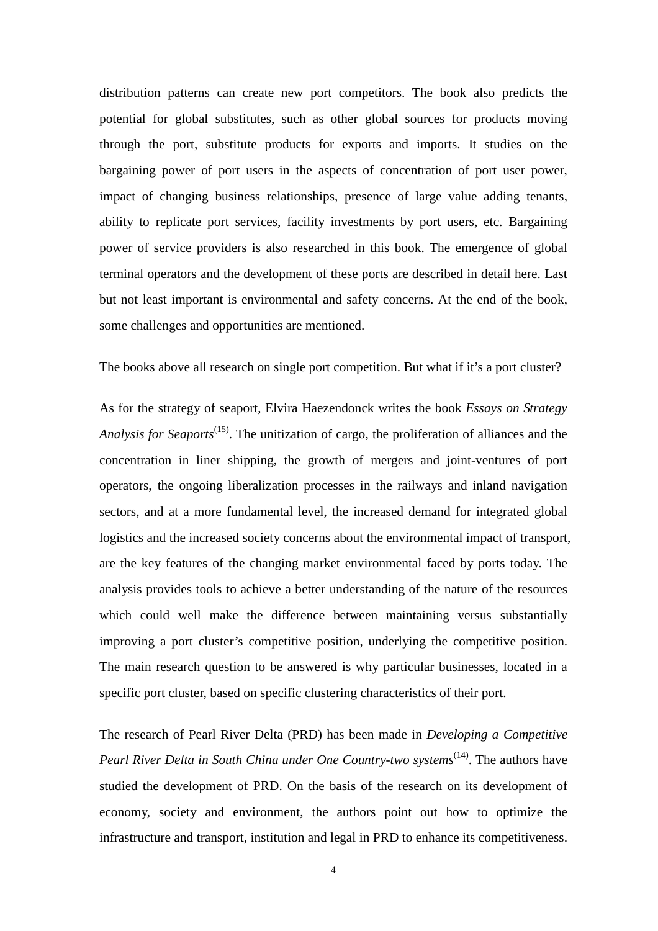distribution patterns can create new port competitors. The book also predicts the potential for global substitutes, such as other global sources for products moving through the port, substitute products for exports and imports. It studies on the bargaining power of port users in the aspects of concentration of port user power, impact of changing business relationships, presence of large value adding tenants, ability to replicate port services, facility investments by port users, etc. Bargaining power of service providers is also researched in this book. The emergence of global terminal operators and the development of these ports are described in detail here. Last but not least important is environmental and safety concerns. At the end of the book, some challenges and opportunities are mentioned.

The books above all research on single port competition. But what if it's a port cluster?

As for the strategy of seaport, Elvira Haezendonck writes the book *Essays on Strategy Analysis for Seaports*<sup>(15)</sup>. The unitization of cargo, the proliferation of alliances and the concentration in liner shipping, the growth of mergers and joint-ventures of port operators, the ongoing liberalization processes in the railways and inland navigation sectors, and at a more fundamental level, the increased demand for integrated global logistics and the increased society concerns about the environmental impact of transport, are the key features of the changing market environmental faced by ports today. The analysis provides tools to achieve a better understanding of the nature of the resources which could well make the difference between maintaining versus substantially improving a port cluster's competitive position, underlying the competitive position. The main research question to be answered is why particular businesses, located in a specific port cluster, based on specific clustering characteristics of their port.

The research of Pearl River Delta (PRD) has been made in *Developing a Competitive Pearl River Delta in South China under One Country-two systems*<sup>(14)</sup>. The authors have studied the development of PRD. On the basis of the research on its development of economy, society and environment, the authors point out how to optimize the infrastructure and transport, institution and legal in PRD to enhance its competitiveness.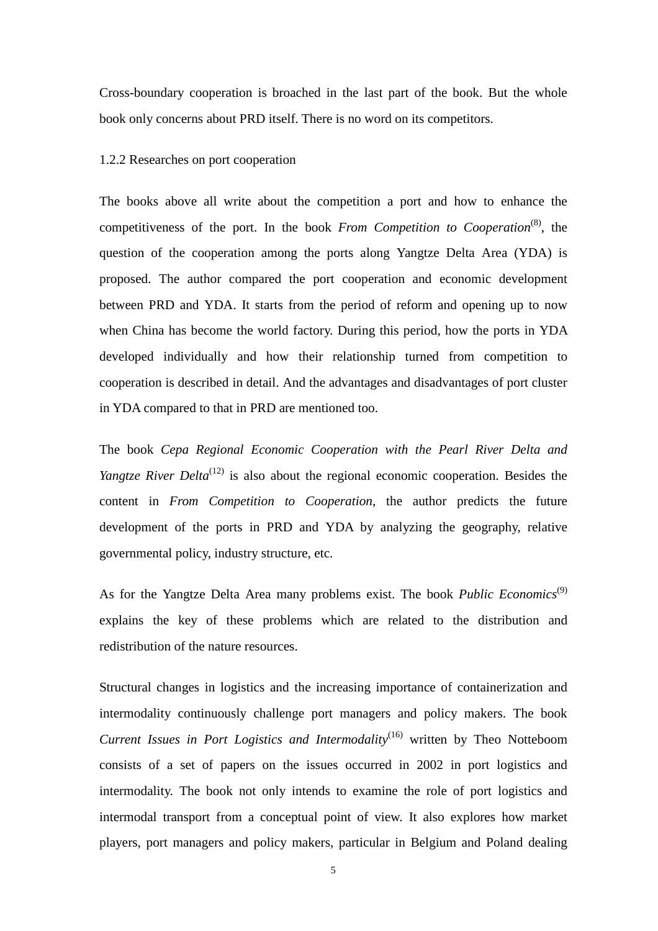Cross-boundary cooperation is broached in the last part of the book. But the whole book only concerns about PRD itself. There is no word on its competitors.

#### 1.2.2 Researches on port cooperation

The books above all write about the competition a port and how to enhance the competitiveness of the port. In the book *From Competition to Cooperation*<sup>(8)</sup>, the question of the cooperation among the ports along Yangtze Delta Area (YDA) is proposed. The author compared the port cooperation and economic development between PRD and YDA. It starts from the period of reform and opening up to now when China has become the world factory. During this period, how the ports in YDA developed individually and how their relationship turned from competition to cooperation is described in detail. And the advantages and disadvantages of port cluster in YDA compared to that in PRD are mentioned too.

The book *Cepa Regional Economic Cooperation with the Pearl River Delta and Yangtze River Delta*<sup>(12)</sup> is also about the regional economic cooperation. Besides the content in *From Competition to Cooperation*, the author predicts the future development of the ports in PRD and YDA by analyzing the geography, relative governmental policy, industry structure, etc.

As for the Yangtze Delta Area many problems exist. The book *Public Economics*<sup>(9)</sup> explains the key of these problems which are related to the distribution and redistribution of the nature resources.

Structural changes in logistics and the increasing importance of containerization and intermodality continuously challenge port managers and policy makers. The book *Current Issues in Port Logistics and Intermodality*<sup>(16)</sup> written by Theo Notteboom consists of a set of papers on the issues occurred in 2002 in port logistics and intermodality. The book not only intends to examine the role of port logistics and intermodal transport from a conceptual point of view. It also explores how market players, port managers and policy makers, particular in Belgium and Poland dealing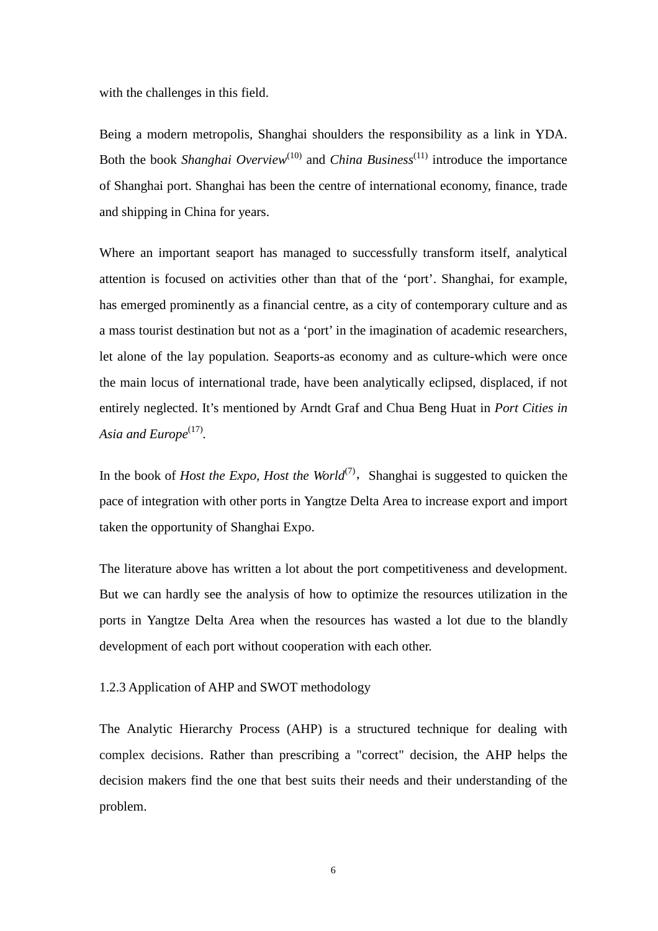with the challenges in this field.

Being a modern metropolis, Shanghai shoulders the responsibility as a link in YDA. Both the book *Shanghai Overview*<sup>(10)</sup> and *China Business*<sup>(11)</sup> introduce the importance of Shanghai port. Shanghai has been the centre of international economy, finance, trade and shipping in China for years.

Where an important seaport has managed to successfully transform itself, analytical attention is focused on activities other than that of the 'port'. Shanghai, for example, has emerged prominently as a financial centre, as a city of contemporary culture and as a mass tourist destination but not as a 'port' in the imagination of academic researchers, let alone of the lay population. Seaports-as economy and as culture-which were once the main locus of international trade, have been analytically eclipsed, displaced, if not entirely neglected. It's mentioned by Arndt Graf and Chua Beng Huat in *Port Cities in*  Asia and Europe<sup>(17)</sup>.

In the book of *Host the Expo, Host the World*<sup> $(7)$ </sup>, Shanghai is suggested to quicken the pace of integration with other ports in Yangtze Delta Area to increase export and import taken the opportunity of Shanghai Expo.

The literature above has written a lot about the port competitiveness and development. But we can hardly see the analysis of how to optimize the resources utilization in the ports in Yangtze Delta Area when the resources has wasted a lot due to the blandly development of each port without cooperation with each other.

1.2.3 Application of AHP and SWOT methodology

The Analytic Hierarchy Process (AHP) is a structured technique for dealing with complex decisions. Rather than prescribing a "correct" decision, the AHP helps the decision makers find the one that best suits their needs and their understanding of the problem.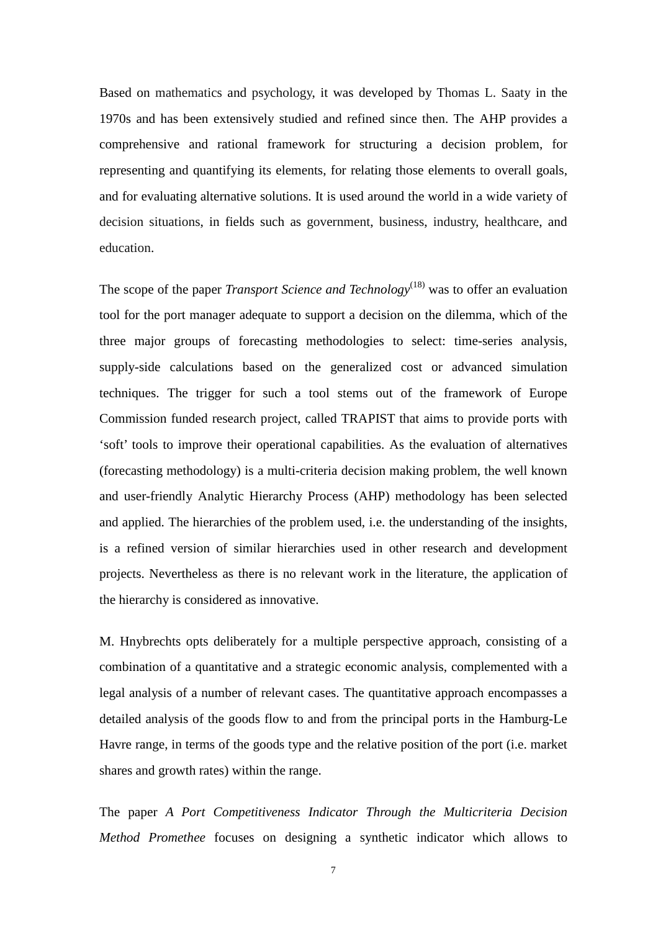Based on mathematics and psychology, it was developed by Thomas L. Saaty in the 1970s and has been extensively studied and refined since then. The AHP provides a comprehensive and rational framework for structuring a decision problem, for representing and quantifying its elements, for relating those elements to overall goals, and for evaluating alternative solutions. It is used around the world in a wide variety of decision situations, in fields such as government, business, industry, healthcare, and education.

The scope of the paper *Transport Science and Technology*<sup>(18)</sup> was to offer an evaluation tool for the port manager adequate to support a decision on the dilemma, which of the three major groups of forecasting methodologies to select: time-series analysis, supply-side calculations based on the generalized cost or advanced simulation techniques. The trigger for such a tool stems out of the framework of Europe Commission funded research project, called TRAPIST that aims to provide ports with 'soft' tools to improve their operational capabilities. As the evaluation of alternatives (forecasting methodology) is a multi-criteria decision making problem, the well known and user-friendly Analytic Hierarchy Process (AHP) methodology has been selected and applied. The hierarchies of the problem used, i.e. the understanding of the insights, is a refined version of similar hierarchies used in other research and development projects. Nevertheless as there is no relevant work in the literature, the application of the hierarchy is considered as innovative.

M. Hnybrechts opts deliberately for a multiple perspective approach, consisting of a combination of a quantitative and a strategic economic analysis, complemented with a legal analysis of a number of relevant cases. The quantitative approach encompasses a detailed analysis of the goods flow to and from the principal ports in the Hamburg-Le Havre range, in terms of the goods type and the relative position of the port (i.e. market shares and growth rates) within the range.

The paper *A Port Competitiveness Indicator Through the Multicriteria Decision Method Promethee* focuses on designing a synthetic indicator which allows to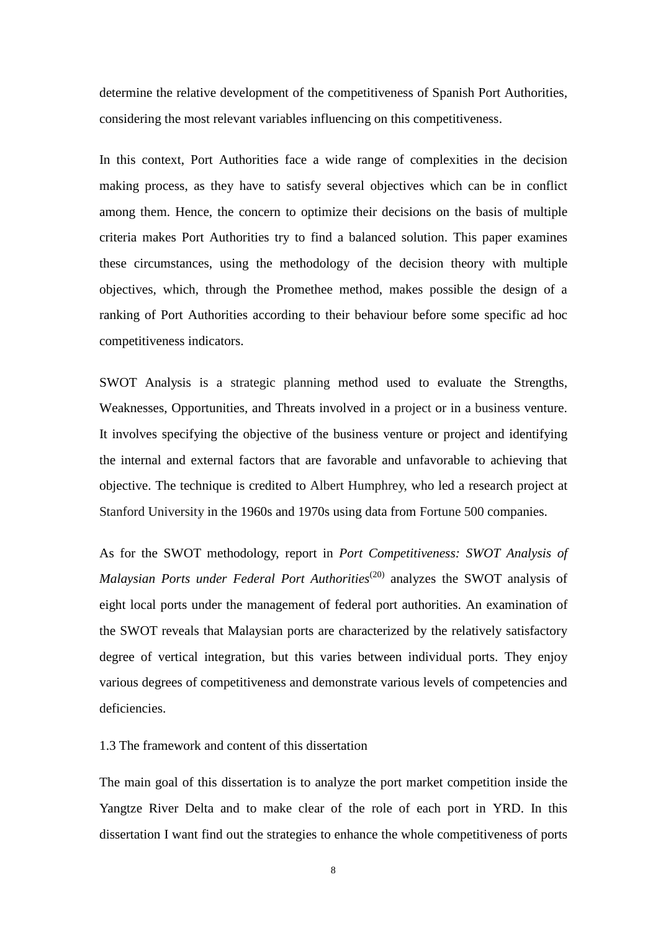determine the relative development of the competitiveness of Spanish Port Authorities, considering the most relevant variables influencing on this competitiveness.

In this context, Port Authorities face a wide range of complexities in the decision making process, as they have to satisfy several objectives which can be in conflict among them. Hence, the concern to optimize their decisions on the basis of multiple criteria makes Port Authorities try to find a balanced solution. This paper examines these circumstances, using the methodology of the decision theory with multiple objectives, which, through the Promethee method, makes possible the design of a ranking of Port Authorities according to their behaviour before some specific ad hoc competitiveness indicators.

SWOT Analysis is a strategic planning method used to evaluate the Strengths, Weaknesses, Opportunities, and Threats involved in a project or in a business venture. It involves specifying the objective of the business venture or project and identifying the internal and external factors that are favorable and unfavorable to achieving that objective. The technique is credited to Albert Humphrey, who led a research project at Stanford University in the 1960s and 1970s using data from Fortune 500 companies.

As for the SWOT methodology, report in *Port Competitiveness: SWOT Analysis of Malaysian Ports under Federal Port Authorities<sup>(20)</sup> analyzes the SWOT analysis of* eight local ports under the management of federal port authorities. An examination of the SWOT reveals that Malaysian ports are characterized by the relatively satisfactory degree of vertical integration, but this varies between individual ports. They enjoy various degrees of competitiveness and demonstrate various levels of competencies and deficiencies.

1.3 The framework and content of this dissertation

The main goal of this dissertation is to analyze the port market competition inside the Yangtze River Delta and to make clear of the role of each port in YRD. In this dissertation I want find out the strategies to enhance the whole competitiveness of ports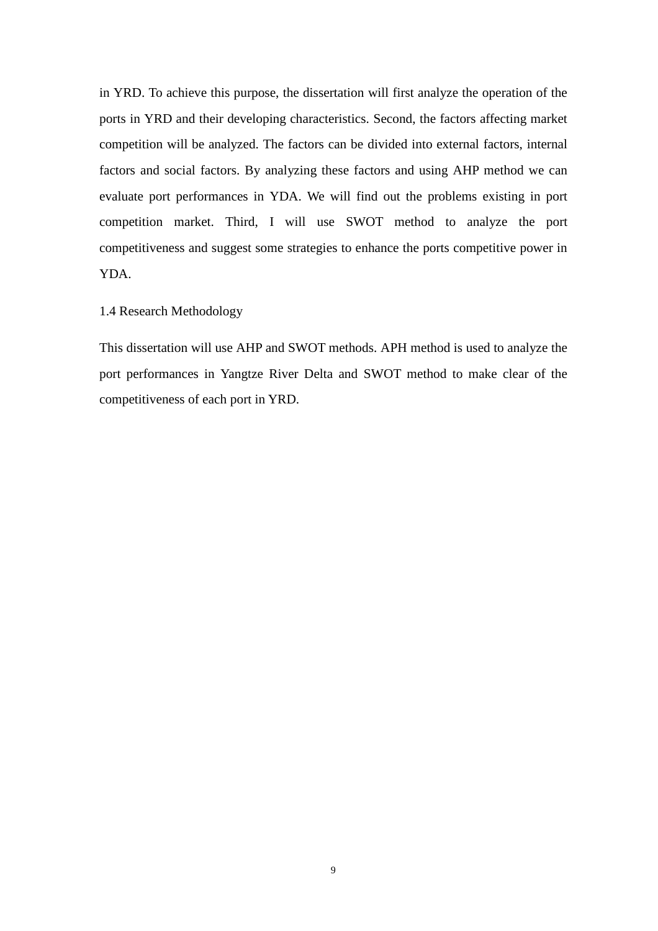in YRD. To achieve this purpose, the dissertation will first analyze the operation of the ports in YRD and their developing characteristics. Second, the factors affecting market competition will be analyzed. The factors can be divided into external factors, internal factors and social factors. By analyzing these factors and using AHP method we can evaluate port performances in YDA. We will find out the problems existing in port competition market. Third, I will use SWOT method to analyze the port competitiveness and suggest some strategies to enhance the ports competitive power in YDA.

#### 1.4 Research Methodology

This dissertation will use AHP and SWOT methods. APH method is used to analyze the port performances in Yangtze River Delta and SWOT method to make clear of the competitiveness of each port in YRD.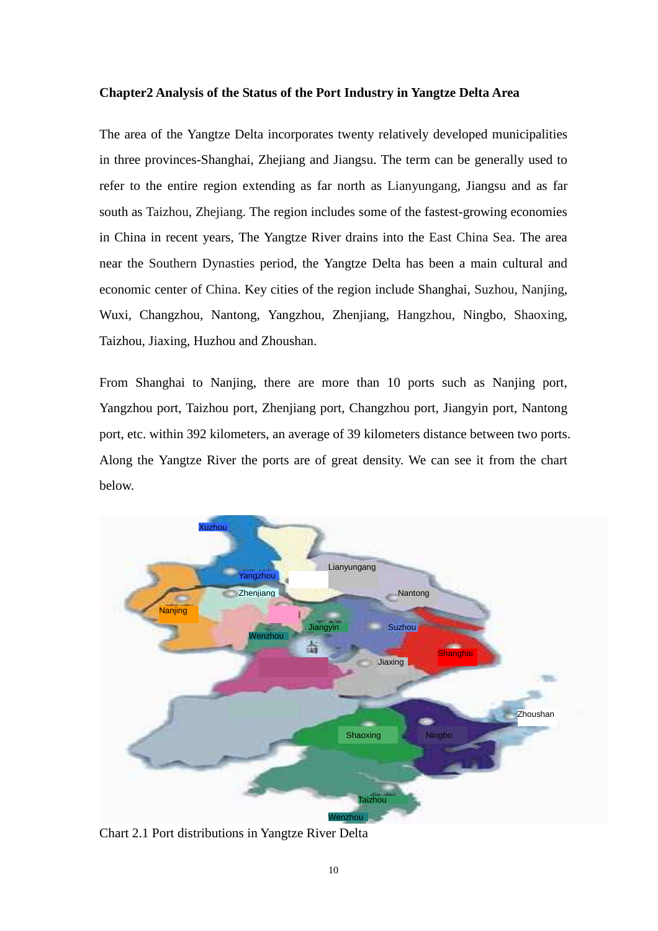#### **Chapter2 Analysis of the Status of the Port Industry in Yangtze Delta Area**

The area of the Yangtze Delta incorporates twenty relatively developed municipalities in three provinces-Shanghai, Zhejiang and Jiangsu. The term can be generally used to refer to the entire region extending as far north as Lianyungang, Jiangsu and as far south as Taizhou, Zhejiang. The region includes some of the fastest-growing economies in China in recent years, The Yangtze River drains into the East China Sea. The area near the Southern Dynasties period, the Yangtze Delta has been a main cultural and economic center of China. Key cities of the region include Shanghai, Suzhou, Nanjing, Wuxi, Changzhou, Nantong, Yangzhou, Zhenjiang, Hangzhou, Ningbo, Shaoxing, Taizhou, Jiaxing, Huzhou and Zhoushan.

From Shanghai to Nanjing, there are more than 10 ports such as Nanjing port, Yangzhou port, Taizhou port, Zhenjiang port, Changzhou port, Jiangyin port, Nantong port, etc. within 392 kilometers, an average of 39 kilometers distance between two ports. Along the Yangtze River the ports are of great density. We can see it from the chart below.



Chart 2.1 Port distributions in Yangtze River Delta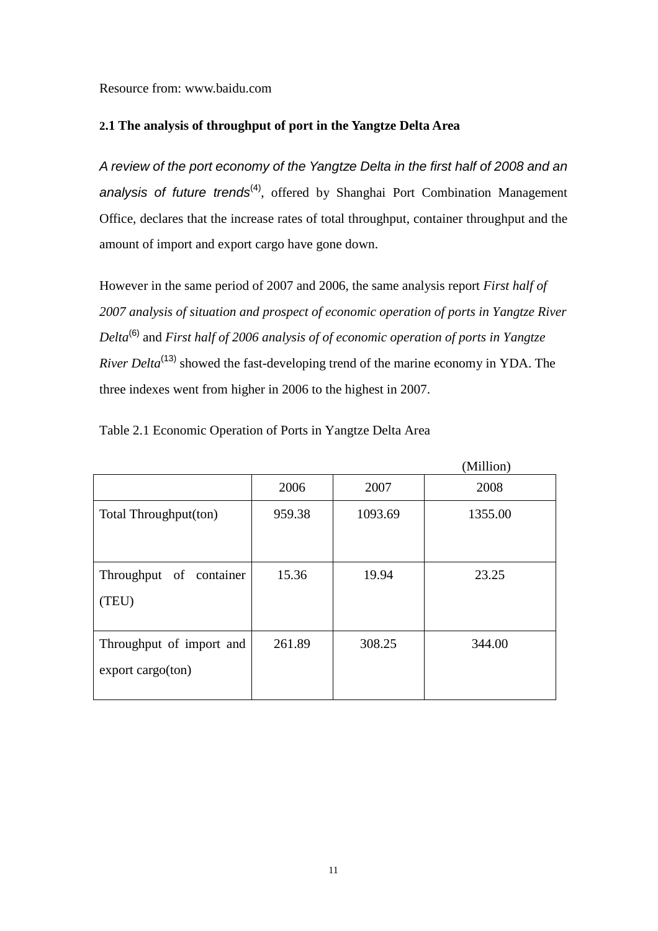Resource from: www.baidu.com

#### **2.1 The analysis of throughput of port in the Yangtze Delta Area**

A review of the port economy of the Yangtze Delta in the first half of 2008 and an analysis of future trends<sup>(4)</sup>, offered by Shanghai Port Combination Management Office, declares that the increase rates of total throughput, container throughput and the amount of import and export cargo have gone down.

However in the same period of 2007 and 2006, the same analysis report *First half of 2007 analysis of situation and prospect of economic operation of ports in Yangtze River Delta*(6) and *First half of 2006 analysis of of economic operation of ports in Yangtze River Delta*<sup>(13)</sup> showed the fast-developing trend of the marine economy in YDA. The three indexes went from higher in 2006 to the highest in 2007.

|                            |        |         | (Million) |
|----------------------------|--------|---------|-----------|
|                            | 2006   | 2007    | 2008      |
| Total Throughput(ton)      | 959.38 | 1093.69 | 1355.00   |
|                            |        |         |           |
|                            |        |         |           |
| Throughput of<br>container | 15.36  | 19.94   | 23.25     |
| (TEU)                      |        |         |           |
|                            |        |         |           |
| Throughput of import and   | 261.89 | 308.25  | 344.00    |
| $\exp$ export cargo(ton)   |        |         |           |
|                            |        |         |           |

Table 2.1 Economic Operation of Ports in Yangtze Delta Area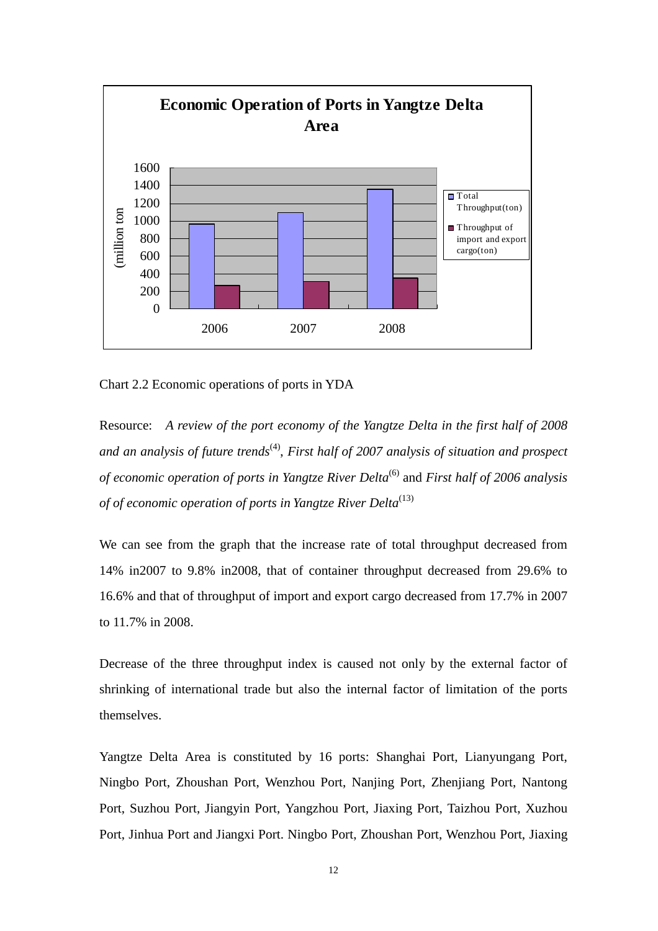

Chart 2.2 Economic operations of ports in YDA

Resource: *A review of the port economy of the Yangtze Delta in the first half of 2008*  and an analysis of future trends<sup>(4)</sup>, First half of 2007 analysis of situation and prospect *of economic operation of ports in Yangtze River Delta*(6) and *First half of 2006 analysis of of economic operation of ports in Yangtze River Delta*<sup>(13)</sup>

We can see from the graph that the increase rate of total throughput decreased from 14% in2007 to 9.8% in2008, that of container throughput decreased from 29.6% to 16.6% and that of throughput of import and export cargo decreased from 17.7% in 2007 to 11.7% in 2008.

Decrease of the three throughput index is caused not only by the external factor of shrinking of international trade but also the internal factor of limitation of the ports themselves.

Yangtze Delta Area is constituted by 16 ports: Shanghai Port, Lianyungang Port, Ningbo Port, Zhoushan Port, Wenzhou Port, Nanjing Port, Zhenjiang Port, Nantong Port, Suzhou Port, Jiangyin Port, Yangzhou Port, Jiaxing Port, Taizhou Port, Xuzhou Port, Jinhua Port and Jiangxi Port. Ningbo Port, Zhoushan Port, Wenzhou Port, Jiaxing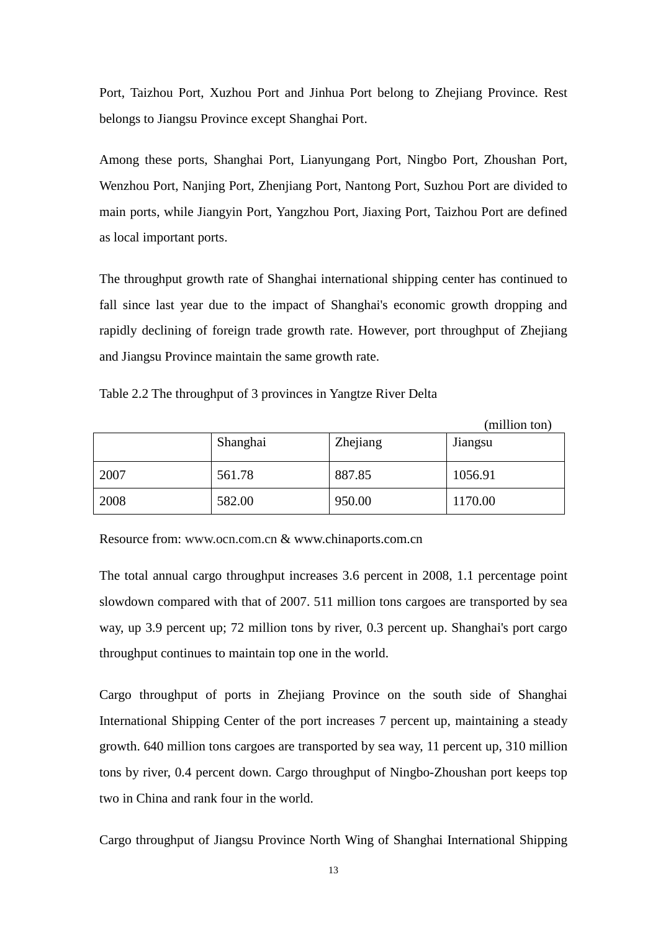Port, Taizhou Port, Xuzhou Port and Jinhua Port belong to Zhejiang Province. Rest belongs to Jiangsu Province except Shanghai Port.

Among these ports, Shanghai Port, Lianyungang Port, Ningbo Port, Zhoushan Port, Wenzhou Port, Nanjing Port, Zhenjiang Port, Nantong Port, Suzhou Port are divided to main ports, while Jiangyin Port, Yangzhou Port, Jiaxing Port, Taizhou Port are defined as local important ports.

The throughput growth rate of Shanghai international shipping center has continued to fall since last year due to the impact of Shanghai's economic growth dropping and rapidly declining of foreign trade growth rate. However, port throughput of Zhejiang and Jiangsu Province maintain the same growth rate.

|  |  | Table 2.2 The throughput of 3 provinces in Yangtze River Delta |  |  |
|--|--|----------------------------------------------------------------|--|--|
|  |  |                                                                |  |  |

|      |          |          | (million ton) |
|------|----------|----------|---------------|
|      | Shanghai | Zhejiang | Jiangsu       |
| 2007 | 561.78   | 887.85   | 1056.91       |
| 2008 | 582.00   | 950.00   | 1170.00       |

Resource from: www.ocn.com.cn & www.chinaports.com.cn

The total annual cargo throughput increases 3.6 percent in 2008, 1.1 percentage point slowdown compared with that of 2007. 511 million tons cargoes are transported by sea way, up 3.9 percent up; 72 million tons by river, 0.3 percent up. Shanghai's port cargo throughput continues to maintain top one in the world.

Cargo throughput of ports in Zhejiang Province on the south side of Shanghai International Shipping Center of the port increases 7 percent up, maintaining a steady growth. 640 million tons cargoes are transported by sea way, 11 percent up, 310 million tons by river, 0.4 percent down. Cargo throughput of Ningbo-Zhoushan port keeps top two in China and rank four in the world.

Cargo throughput of Jiangsu Province North Wing of Shanghai International Shipping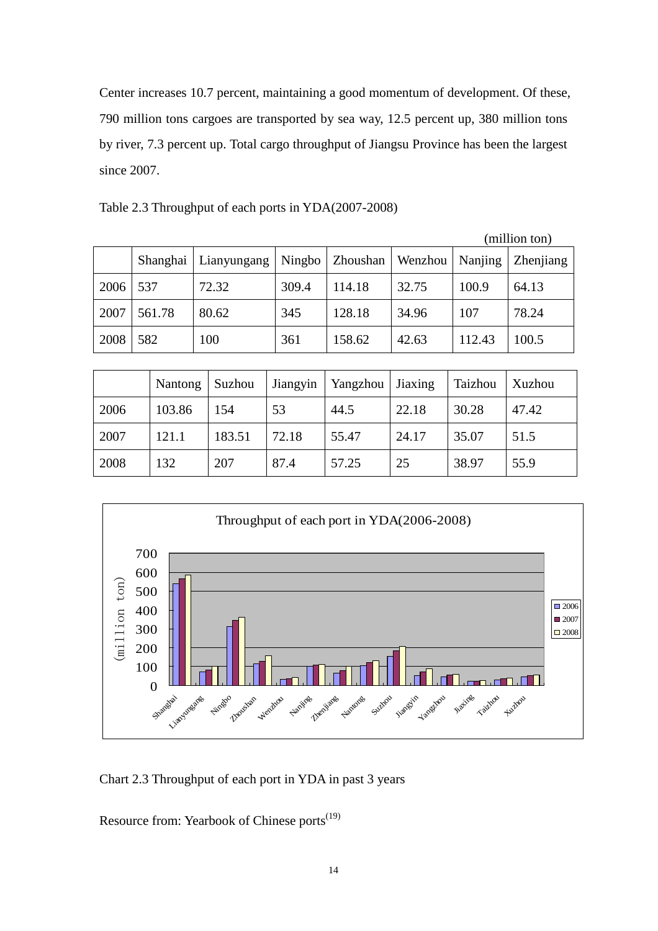Center increases 10.7 percent, maintaining a good momentum of development. Of these, 790 million tons cargoes are transported by sea way, 12.5 percent up, 380 million tons by river, 7.3 percent up. Total cargo throughput of Jiangsu Province has been the largest since 2007.

|      |          |             |        |          |         |         | (million ton) |
|------|----------|-------------|--------|----------|---------|---------|---------------|
|      | Shanghai | Lianyungang | Ningbo | Zhoushan | Wenzhou | Nanjing | Zhenjiang     |
| 2006 | 537      | 72.32       | 309.4  | 114.18   | 32.75   | 100.9   | 64.13         |
| 2007 | 561.78   | 80.62       | 345    | 128.18   | 34.96   | 107     | 78.24         |
| 2008 | 582      | 100         | 361    | 158.62   | 42.63   | 112.43  | 100.5         |

Table 2.3 Throughput of each ports in YDA(2007-2008)

|      | Nantong | Suzhou | Jiangyin | Yangzhou   Jiaxing |       | Taizhou | Xuzhou |
|------|---------|--------|----------|--------------------|-------|---------|--------|
| 2006 | 103.86  | 154    | 53       | 44.5               | 22.18 | 30.28   | 47.42  |
| 2007 | 121.1   | 183.51 | 72.18    | 55.47              | 24.17 | 35.07   | 51.5   |
| 2008 | 132     | 207    | 87.4     | 57.25              | 25    | 38.97   | 55.9   |



Chart 2.3 Throughput of each port in YDA in past 3 years

Resource from: Yearbook of Chinese ports<sup>(19)</sup>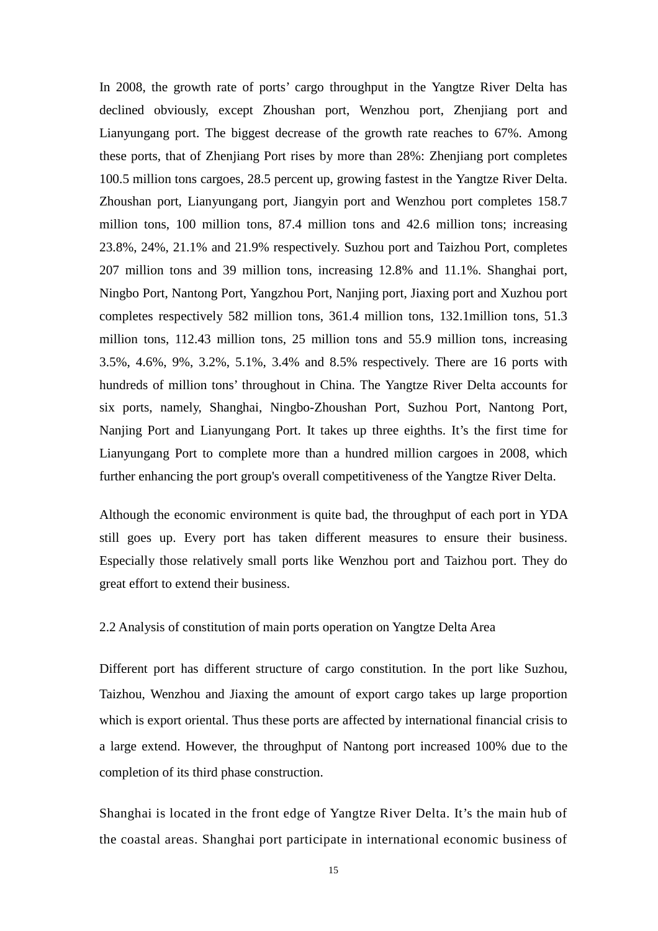In 2008, the growth rate of ports' cargo throughput in the Yangtze River Delta has declined obviously, except Zhoushan port, Wenzhou port, Zhenjiang port and Lianyungang port. The biggest decrease of the growth rate reaches to 67%. Among these ports, that of Zhenjiang Port rises by more than 28%: Zhenjiang port completes 100.5 million tons cargoes, 28.5 percent up, growing fastest in the Yangtze River Delta. Zhoushan port, Lianyungang port, Jiangyin port and Wenzhou port completes 158.7 million tons, 100 million tons, 87.4 million tons and 42.6 million tons; increasing 23.8%, 24%, 21.1% and 21.9% respectively. Suzhou port and Taizhou Port, completes 207 million tons and 39 million tons, increasing 12.8% and 11.1%. Shanghai port, Ningbo Port, Nantong Port, Yangzhou Port, Nanjing port, Jiaxing port and Xuzhou port completes respectively 582 million tons, 361.4 million tons, 132.1million tons, 51.3 million tons, 112.43 million tons, 25 million tons and 55.9 million tons, increasing 3.5%, 4.6%, 9%, 3.2%, 5.1%, 3.4% and 8.5% respectively. There are 16 ports with hundreds of million tons' throughout in China. The Yangtze River Delta accounts for six ports, namely, Shanghai, Ningbo-Zhoushan Port, Suzhou Port, Nantong Port, Nanjing Port and Lianyungang Port. It takes up three eighths. It's the first time for Lianyungang Port to complete more than a hundred million cargoes in 2008, which further enhancing the port group's overall competitiveness of the Yangtze River Delta.

Although the economic environment is quite bad, the throughput of each port in YDA still goes up. Every port has taken different measures to ensure their business. Especially those relatively small ports like Wenzhou port and Taizhou port. They do great effort to extend their business.

#### 2.2 Analysis of constitution of main ports operation on Yangtze Delta Area

Different port has different structure of cargo constitution. In the port like Suzhou, Taizhou, Wenzhou and Jiaxing the amount of export cargo takes up large proportion which is export oriental. Thus these ports are affected by international financial crisis to a large extend. However, the throughput of Nantong port increased 100% due to the completion of its third phase construction.

Shanghai is located in the front edge of Yangtze River Delta. It's the main hub of the coastal areas. Shanghai port participate in international economic business of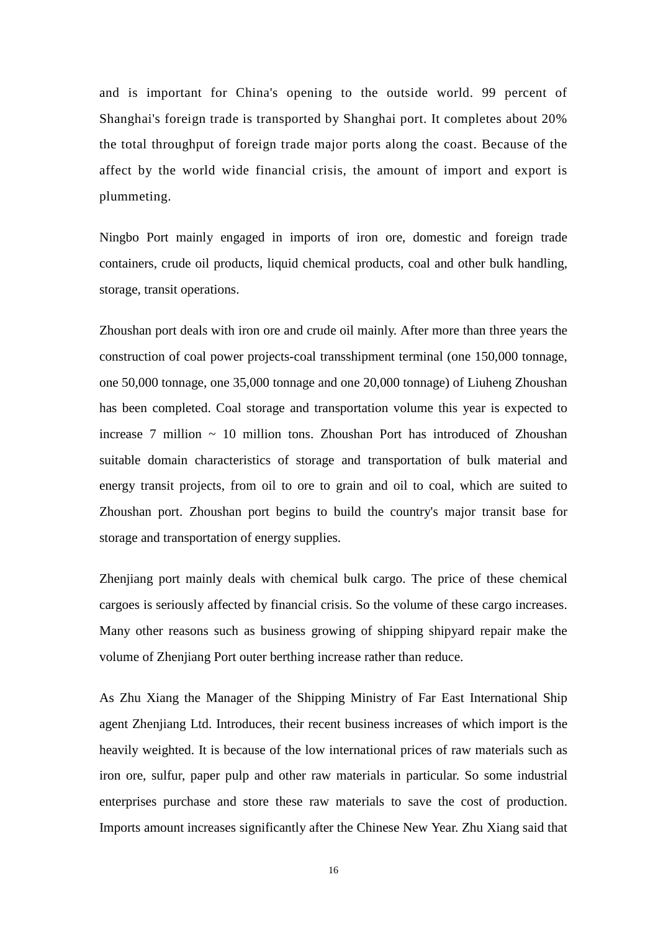and is important for China's opening to the outside world. 99 percent of Shanghai's foreign trade is transported by Shanghai port. It completes about 20% the total throughput of foreign trade major ports along the coast. Because of the affect by the world wide financial crisis, the amount of import and export is plummeting.

Ningbo Port mainly engaged in imports of iron ore, domestic and foreign trade containers, crude oil products, liquid chemical products, coal and other bulk handling, storage, transit operations.

Zhoushan port deals with iron ore and crude oil mainly. After more than three years the construction of coal power projects-coal transshipment terminal (one 150,000 tonnage, one 50,000 tonnage, one 35,000 tonnage and one 20,000 tonnage) of Liuheng Zhoushan has been completed. Coal storage and transportation volume this year is expected to increase  $7$  million  $\sim 10$  million tons. Zhoushan Port has introduced of Zhoushan suitable domain characteristics of storage and transportation of bulk material and energy transit projects, from oil to ore to grain and oil to coal, which are suited to Zhoushan port. Zhoushan port begins to build the country's major transit base for storage and transportation of energy supplies.

Zhenjiang port mainly deals with chemical bulk cargo. The price of these chemical cargoes is seriously affected by financial crisis. So the volume of these cargo increases. Many other reasons such as business growing of shipping shipyard repair make the volume of Zhenjiang Port outer berthing increase rather than reduce.

As Zhu Xiang the Manager of the Shipping Ministry of Far East International Ship agent Zhenjiang Ltd. Introduces, their recent business increases of which import is the heavily weighted. It is because of the low international prices of raw materials such as iron ore, sulfur, paper pulp and other raw materials in particular. So some industrial enterprises purchase and store these raw materials to save the cost of production. Imports amount increases significantly after the Chinese New Year. Zhu Xiang said that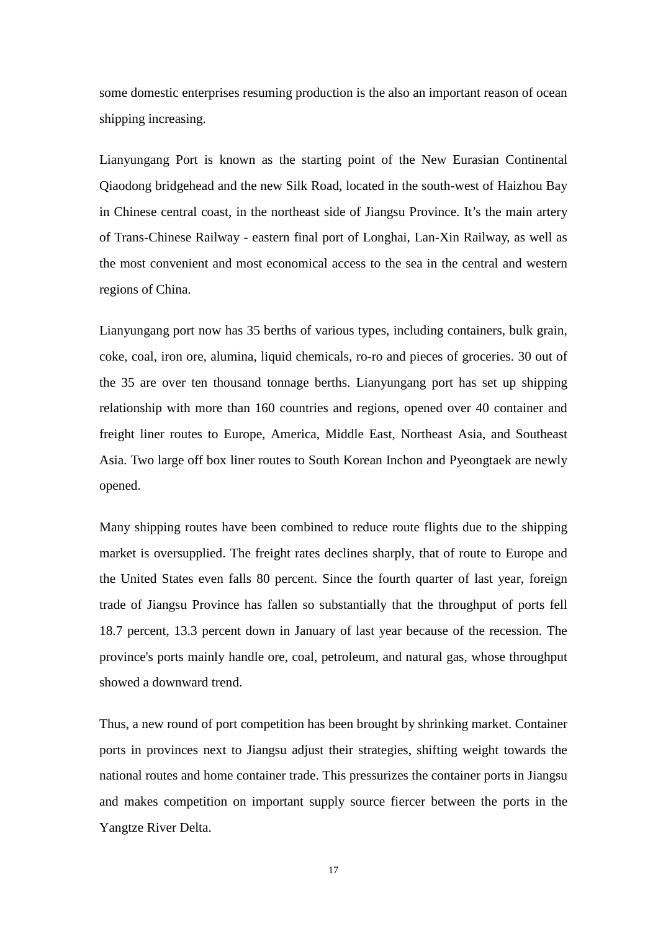some domestic enterprises resuming production is the also an important reason of ocean shipping increasing.

Lianyungang Port is known as the starting point of the New Eurasian Continental Qiaodong bridgehead and the new Silk Road, located in the south-west of Haizhou Bay in Chinese central coast, in the northeast side of Jiangsu Province. It's the main artery of Trans-Chinese Railway - eastern final port of Longhai, Lan-Xin Railway, as well as the most convenient and most economical access to the sea in the central and western regions of China.

Lianyungang port now has 35 berths of various types, including containers, bulk grain, coke, coal, iron ore, alumina, liquid chemicals, ro-ro and pieces of groceries. 30 out of the 35 are over ten thousand tonnage berths. Lianyungang port has set up shipping relationship with more than 160 countries and regions, opened over 40 container and freight liner routes to Europe, America, Middle East, Northeast Asia, and Southeast Asia. Two large off box liner routes to South Korean Inchon and Pyeongtaek are newly opened.

Many shipping routes have been combined to reduce route flights due to the shipping market is oversupplied. The freight rates declines sharply, that of route to Europe and the United States even falls 80 percent. Since the fourth quarter of last year, foreign trade of Jiangsu Province has fallen so substantially that the throughput of ports fell 18.7 percent, 13.3 percent down in January of last year because of the recession. The province's ports mainly handle ore, coal, petroleum, and natural gas, whose throughput showed a downward trend.

Thus, a new round of port competition has been brought by shrinking market. Container ports in provinces next to Jiangsu adjust their strategies, shifting weight towards the national routes and home container trade. This pressurizes the container ports in Jiangsu and makes competition on important supply source fiercer between the ports in the Yangtze River Delta.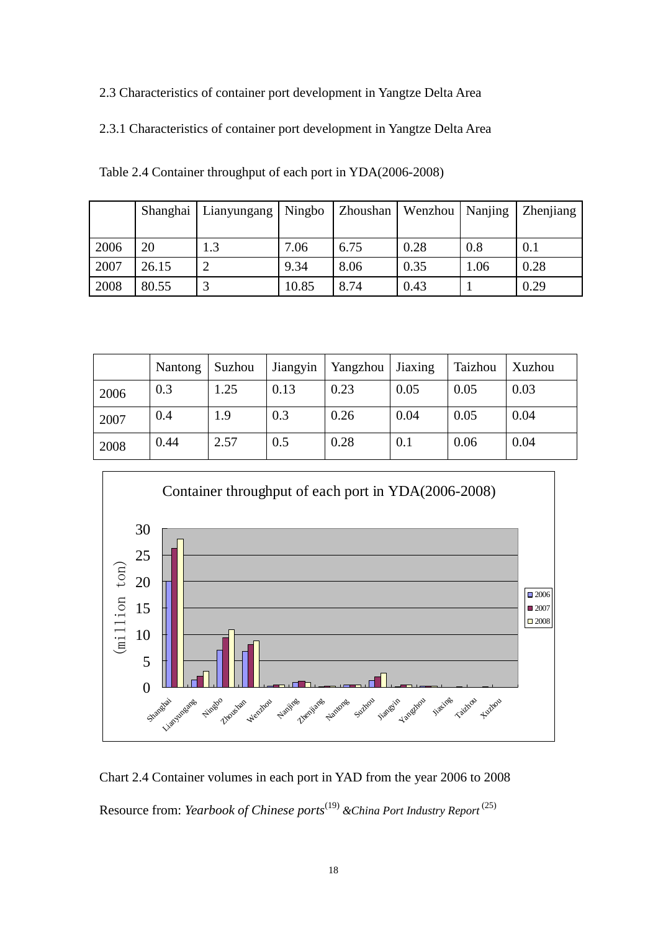2.3 Characteristics of container port development in Yangtze Delta Area

2.3.1 Characteristics of container port development in Yangtze Delta Area

|      |       | Shanghai   Lianyungang   Ningbo   Zhoushan   Wenzhou   Nanjing |       |      |      |      | <b>Zhenjiang</b> |
|------|-------|----------------------------------------------------------------|-------|------|------|------|------------------|
|      |       |                                                                |       |      |      |      |                  |
| 2006 | 20    | 1.3                                                            | 7.06  | 6.75 | 0.28 | 0.8  | 0.1              |
| 2007 | 26.15 |                                                                | 9.34  | 8.06 | 0.35 | 1.06 | 0.28             |
| 2008 | 80.55 |                                                                | 10.85 | 8.74 | 0.43 |      | 0.29             |

Table 2.4 Container throughput of each port in YDA(2006-2008)

|      | Nantong | Suzhou | Jiangyin | Yangzhou | Jiaxing | Taizhou | Xuzhou |
|------|---------|--------|----------|----------|---------|---------|--------|
| 2006 | 0.3     | 1.25   | 0.13     | 0.23     | 0.05    | 0.05    | 0.03   |
| 2007 | 0.4     | 1.9    | 0.3      | 0.26     | 0.04    | 0.05    | 0.04   |
| 2008 | 0.44    | 2.57   | 0.5      | 0.28     | 0.1     | 0.06    | 0.04   |



Chart 2.4 Container volumes in each port in YAD from the year 2006 to 2008 Resource from: *Yearbook of Chinese ports*(19) *&China Port Industry Report* (25)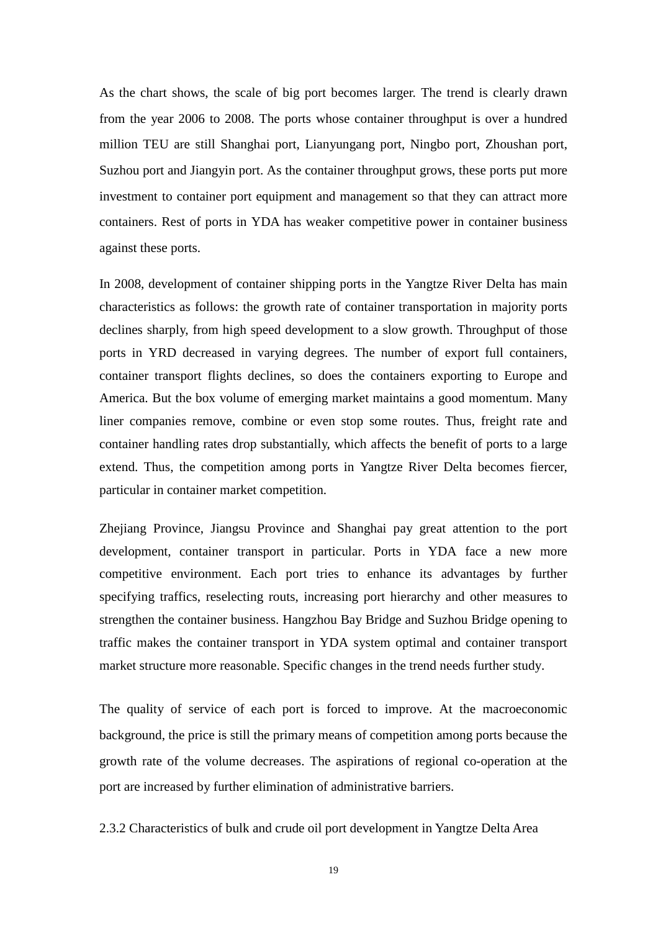As the chart shows, the scale of big port becomes larger. The trend is clearly drawn from the year 2006 to 2008. The ports whose container throughput is over a hundred million TEU are still Shanghai port, Lianyungang port, Ningbo port, Zhoushan port, Suzhou port and Jiangyin port. As the container throughput grows, these ports put more investment to container port equipment and management so that they can attract more containers. Rest of ports in YDA has weaker competitive power in container business against these ports.

In 2008, development of container shipping ports in the Yangtze River Delta has main characteristics as follows: the growth rate of container transportation in majority ports declines sharply, from high speed development to a slow growth. Throughput of those ports in YRD decreased in varying degrees. The number of export full containers, container transport flights declines, so does the containers exporting to Europe and America. But the box volume of emerging market maintains a good momentum. Many liner companies remove, combine or even stop some routes. Thus, freight rate and container handling rates drop substantially, which affects the benefit of ports to a large extend. Thus, the competition among ports in Yangtze River Delta becomes fiercer, particular in container market competition.

Zhejiang Province, Jiangsu Province and Shanghai pay great attention to the port development, container transport in particular. Ports in YDA face a new more competitive environment. Each port tries to enhance its advantages by further specifying traffics, reselecting routs, increasing port hierarchy and other measures to strengthen the container business. Hangzhou Bay Bridge and Suzhou Bridge opening to traffic makes the container transport in YDA system optimal and container transport market structure more reasonable. Specific changes in the trend needs further study.

The quality of service of each port is forced to improve. At the macroeconomic background, the price is still the primary means of competition among ports because the growth rate of the volume decreases. The aspirations of regional co-operation at the port are increased by further elimination of administrative barriers.

2.3.2 Characteristics of bulk and crude oil port development in Yangtze Delta Area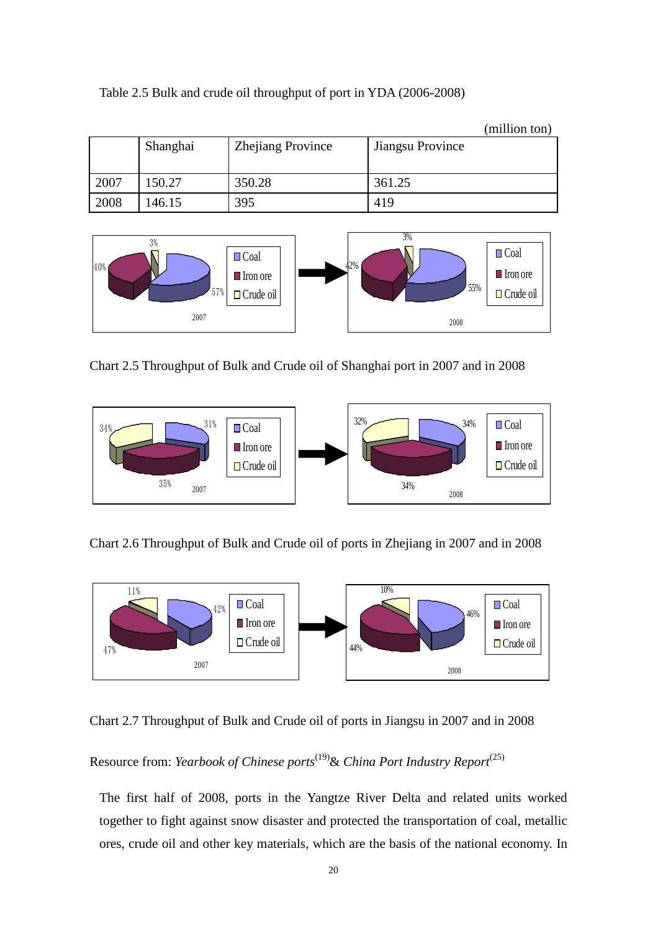|      |          |                          |                  | (million ton) |
|------|----------|--------------------------|------------------|---------------|
|      | Shanghai | <b>Zhejiang Province</b> | Jiangsu Province |               |
|      |          |                          |                  |               |
|      |          |                          |                  |               |
| 2007 | 150.27   | 350.28                   | 361.25           |               |
| 2008 | 146.15   | 395                      | 419              |               |

Table 2.5 Bulk and crude oil throughput of port in YDA (2006-2008)



Chart 2.5 Throughput of Bulk and Crude oil of Shanghai port in 2007 and in 2008



Chart 2.6 Throughput of Bulk and Crude oil of ports in Zhejiang in 2007 and in 2008



Chart 2.7 Throughput of Bulk and Crude oil of ports in Jiangsu in 2007 and in 2008

Resource from: *Yearbook of Chinese ports*(19)& *China Port Industry Report*(25)

The first half of 2008, ports in the Yangtze River Delta and related units worked together to fight against snow disaster and protected the transportation of coal, metallic ores, crude oil and other key materials, which are the basis of the national economy. In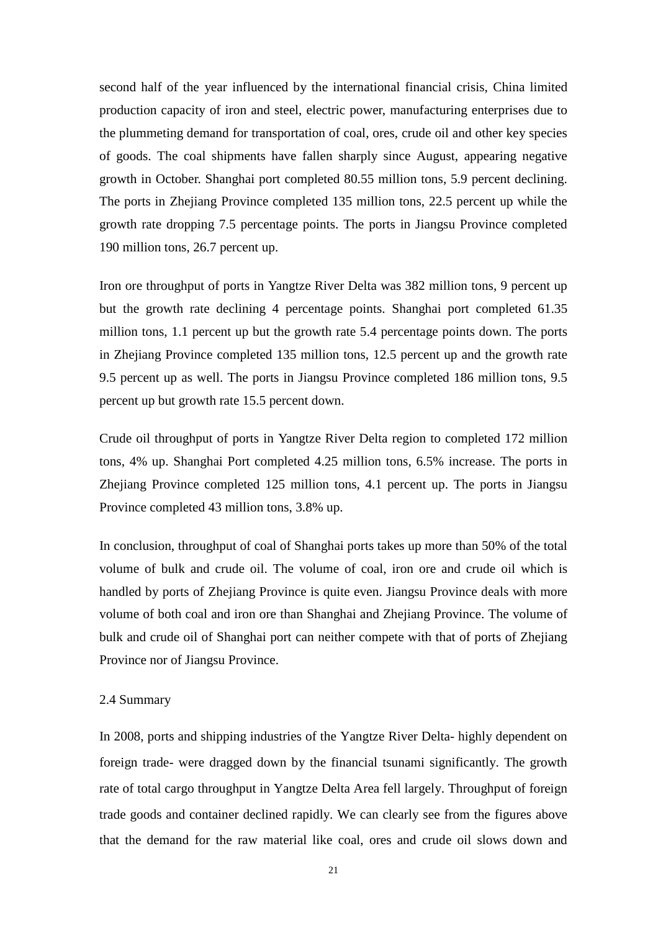second half of the year influenced by the international financial crisis, China limited production capacity of iron and steel, electric power, manufacturing enterprises due to the plummeting demand for transportation of coal, ores, crude oil and other key species of goods. The coal shipments have fallen sharply since August, appearing negative growth in October. Shanghai port completed 80.55 million tons, 5.9 percent declining. The ports in Zhejiang Province completed 135 million tons, 22.5 percent up while the growth rate dropping 7.5 percentage points. The ports in Jiangsu Province completed 190 million tons, 26.7 percent up.

Iron ore throughput of ports in Yangtze River Delta was 382 million tons, 9 percent up but the growth rate declining 4 percentage points. Shanghai port completed 61.35 million tons, 1.1 percent up but the growth rate 5.4 percentage points down. The ports in Zhejiang Province completed 135 million tons, 12.5 percent up and the growth rate 9.5 percent up as well. The ports in Jiangsu Province completed 186 million tons, 9.5 percent up but growth rate 15.5 percent down.

Crude oil throughput of ports in Yangtze River Delta region to completed 172 million tons, 4% up. Shanghai Port completed 4.25 million tons, 6.5% increase. The ports in Zhejiang Province completed 125 million tons, 4.1 percent up. The ports in Jiangsu Province completed 43 million tons, 3.8% up.

In conclusion, throughput of coal of Shanghai ports takes up more than 50% of the total volume of bulk and crude oil. The volume of coal, iron ore and crude oil which is handled by ports of Zhejiang Province is quite even. Jiangsu Province deals with more volume of both coal and iron ore than Shanghai and Zhejiang Province. The volume of bulk and crude oil of Shanghai port can neither compete with that of ports of Zhejiang Province nor of Jiangsu Province.

#### 2.4 Summary

In 2008, ports and shipping industries of the Yangtze River Delta- highly dependent on foreign trade- were dragged down by the financial tsunami significantly. The growth rate of total cargo throughput in Yangtze Delta Area fell largely. Throughput of foreign trade goods and container declined rapidly. We can clearly see from the figures above that the demand for the raw material like coal, ores and crude oil slows down and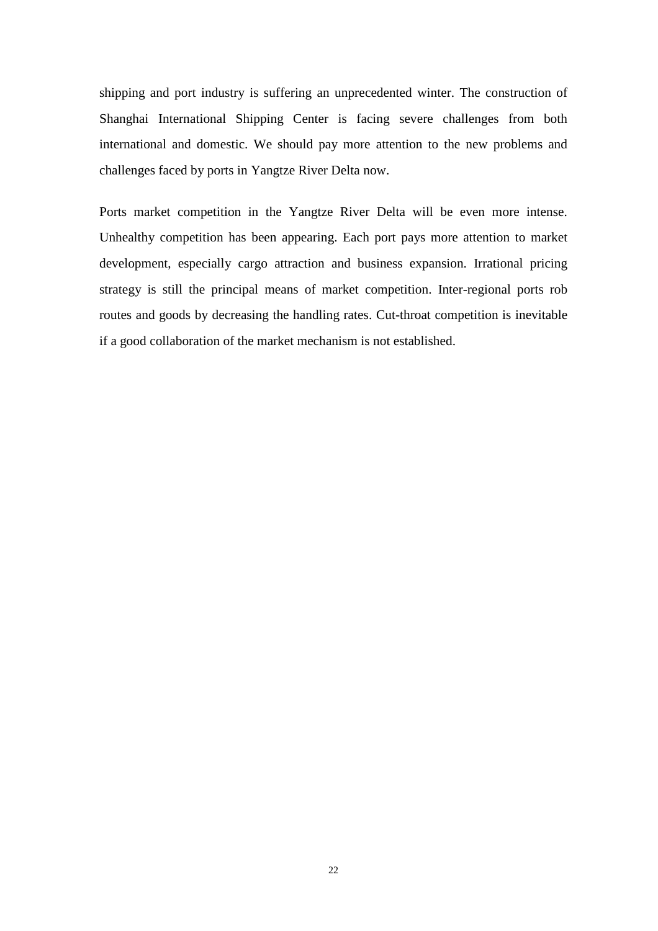shipping and port industry is suffering an unprecedented winter. The construction of Shanghai International Shipping Center is facing severe challenges from both international and domestic. We should pay more attention to the new problems and challenges faced by ports in Yangtze River Delta now.

Ports market competition in the Yangtze River Delta will be even more intense. Unhealthy competition has been appearing. Each port pays more attention to market development, especially cargo attraction and business expansion. Irrational pricing strategy is still the principal means of market competition. Inter-regional ports rob routes and goods by decreasing the handling rates. Cut-throat competition is inevitable if a good collaboration of the market mechanism is not established.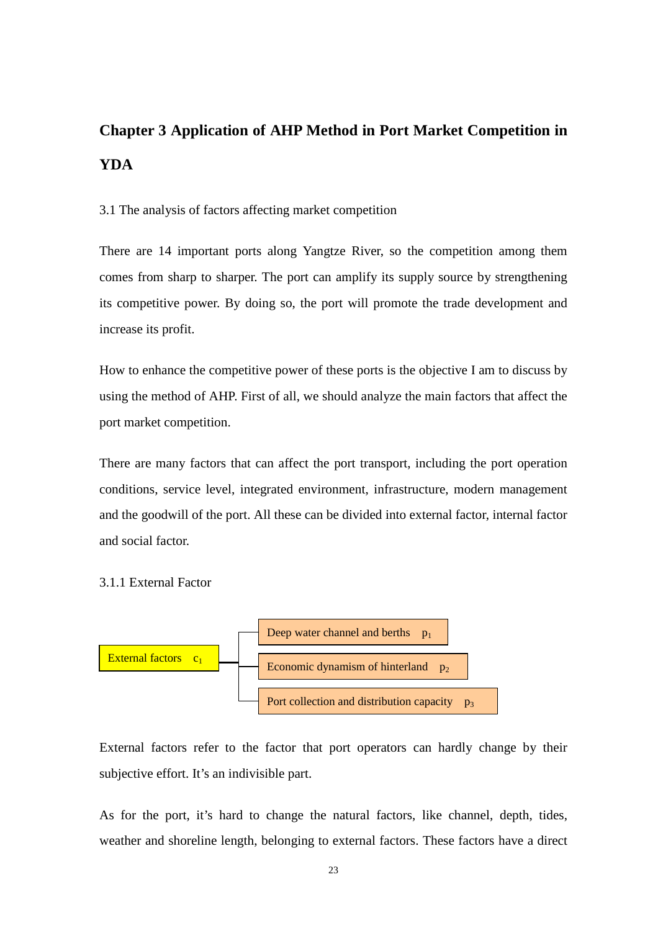# **Chapter 3 Application of AHP Method in Port Market Competition in YDA**

3.1 The analysis of factors affecting market competition

There are 14 important ports along Yangtze River, so the competition among them comes from sharp to sharper. The port can amplify its supply source by strengthening its competitive power. By doing so, the port will promote the trade development and increase its profit.

How to enhance the competitive power of these ports is the objective I am to discuss by using the method of AHP. First of all, we should analyze the main factors that affect the port market competition.

There are many factors that can affect the port transport, including the port operation conditions, service level, integrated environment, infrastructure, modern management and the goodwill of the port. All these can be divided into external factor, internal factor and social factor.

3.1.1 External Factor



External factors refer to the factor that port operators can hardly change by their subjective effort. It's an indivisible part.

As for the port, it's hard to change the natural factors, like channel, depth, tides, weather and shoreline length, belonging to external factors. These factors have a direct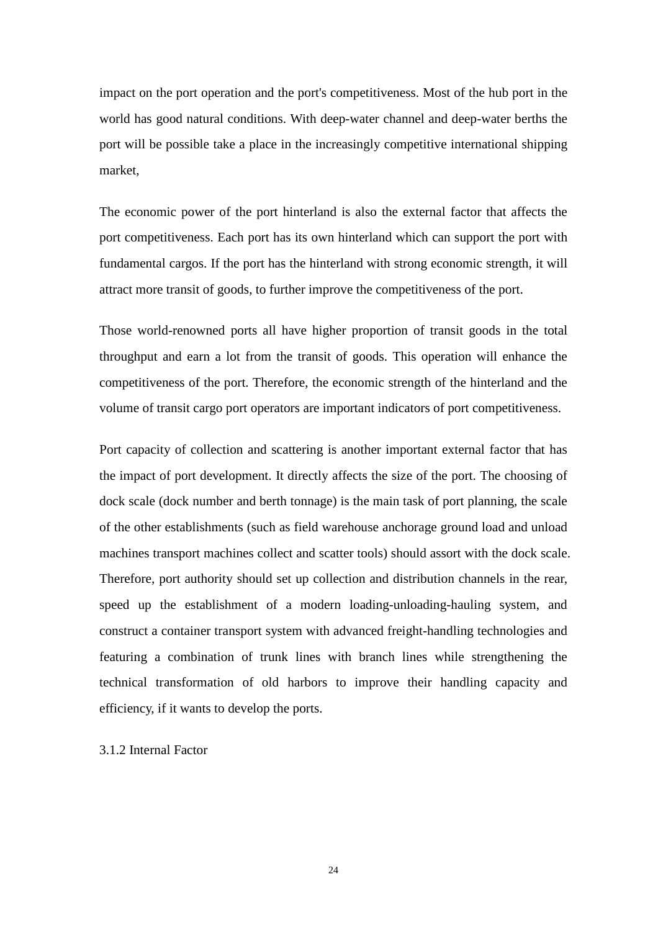impact on the port operation and the port's competitiveness. Most of the hub port in the world has good natural conditions. With deep-water channel and deep-water berths the port will be possible take a place in the increasingly competitive international shipping market,

The economic power of the port hinterland is also the external factor that affects the port competitiveness. Each port has its own hinterland which can support the port with fundamental cargos. If the port has the hinterland with strong economic strength, it will attract more transit of goods, to further improve the competitiveness of the port.

Those world-renowned ports all have higher proportion of transit goods in the total throughput and earn a lot from the transit of goods. This operation will enhance the competitiveness of the port. Therefore, the economic strength of the hinterland and the volume of transit cargo port operators are important indicators of port competitiveness.

Port capacity of collection and scattering is another important external factor that has the impact of port development. It directly affects the size of the port. The choosing of dock scale (dock number and berth tonnage) is the main task of port planning, the scale of the other establishments (such as field warehouse anchorage ground load and unload machines transport machines collect and scatter tools) should assort with the dock scale. Therefore, port authority should set up collection and distribution channels in the rear, speed up the establishment of a modern loading-unloading-hauling system, and construct a container transport system with advanced freight-handling technologies and featuring a combination of trunk lines with branch lines while strengthening the technical transformation of old harbors to improve their handling capacity and efficiency, if it wants to develop the ports.

3.1.2 Internal Factor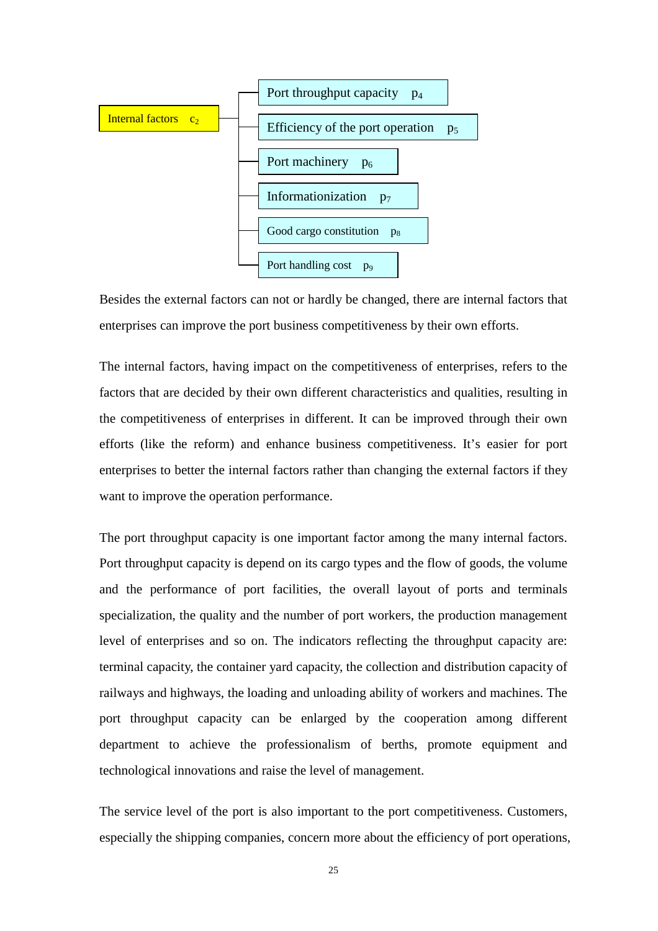

Besides the external factors can not or hardly be changed, there are internal factors that enterprises can improve the port business competitiveness by their own efforts.

The internal factors, having impact on the competitiveness of enterprises, refers to the factors that are decided by their own different characteristics and qualities, resulting in the competitiveness of enterprises in different. It can be improved through their own efforts (like the reform) and enhance business competitiveness. It's easier for port enterprises to better the internal factors rather than changing the external factors if they want to improve the operation performance.

The port throughput capacity is one important factor among the many internal factors. Port throughput capacity is depend on its cargo types and the flow of goods, the volume and the performance of port facilities, the overall layout of ports and terminals specialization, the quality and the number of port workers, the production management level of enterprises and so on. The indicators reflecting the throughput capacity are: terminal capacity, the container yard capacity, the collection and distribution capacity of railways and highways, the loading and unloading ability of workers and machines. The port throughput capacity can be enlarged by the cooperation among different department to achieve the professionalism of berths, promote equipment and technological innovations and raise the level of management.

The service level of the port is also important to the port competitiveness. Customers, especially the shipping companies, concern more about the efficiency of port operations,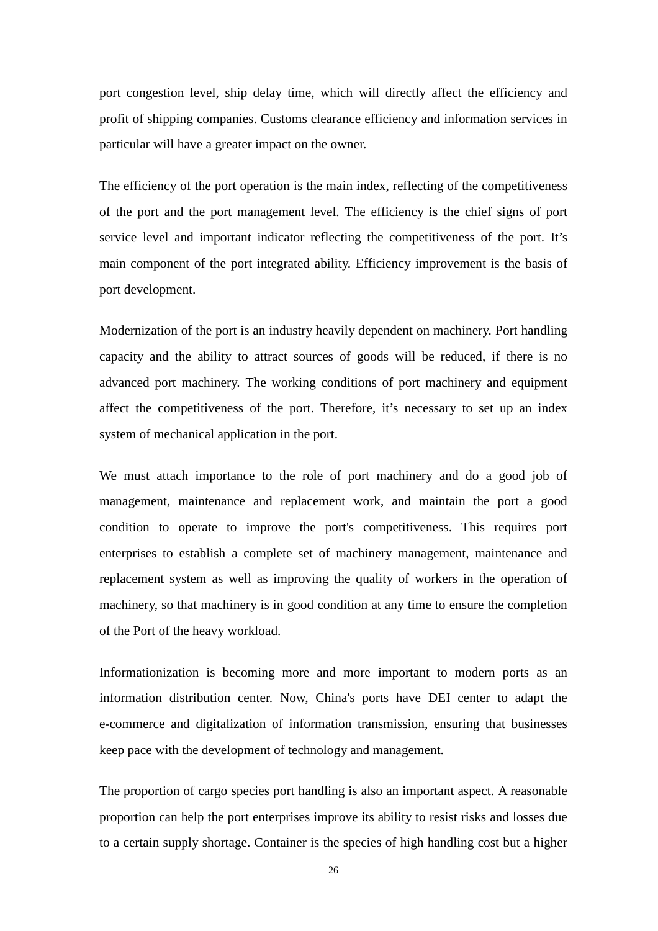port congestion level, ship delay time, which will directly affect the efficiency and profit of shipping companies. Customs clearance efficiency and information services in particular will have a greater impact on the owner.

The efficiency of the port operation is the main index, reflecting of the competitiveness of the port and the port management level. The efficiency is the chief signs of port service level and important indicator reflecting the competitiveness of the port. It's main component of the port integrated ability. Efficiency improvement is the basis of port development.

Modernization of the port is an industry heavily dependent on machinery. Port handling capacity and the ability to attract sources of goods will be reduced, if there is no advanced port machinery. The working conditions of port machinery and equipment affect the competitiveness of the port. Therefore, it's necessary to set up an index system of mechanical application in the port.

We must attach importance to the role of port machinery and do a good job of management, maintenance and replacement work, and maintain the port a good condition to operate to improve the port's competitiveness. This requires port enterprises to establish a complete set of machinery management, maintenance and replacement system as well as improving the quality of workers in the operation of machinery, so that machinery is in good condition at any time to ensure the completion of the Port of the heavy workload.

Informationization is becoming more and more important to modern ports as an information distribution center. Now, China's ports have DEI center to adapt the e-commerce and digitalization of information transmission, ensuring that businesses keep pace with the development of technology and management.

The proportion of cargo species port handling is also an important aspect. A reasonable proportion can help the port enterprises improve its ability to resist risks and losses due to a certain supply shortage. Container is the species of high handling cost but a higher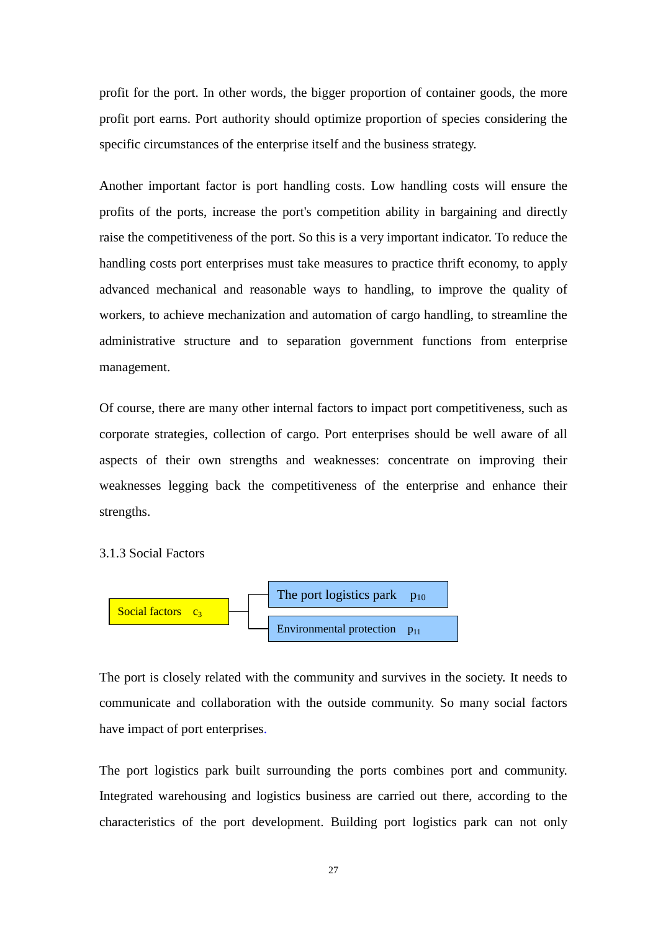profit for the port. In other words, the bigger proportion of container goods, the more profit port earns. Port authority should optimize proportion of species considering the specific circumstances of the enterprise itself and the business strategy.

Another important factor is port handling costs. Low handling costs will ensure the profits of the ports, increase the port's competition ability in bargaining and directly raise the competitiveness of the port. So this is a very important indicator. To reduce the handling costs port enterprises must take measures to practice thrift economy, to apply advanced mechanical and reasonable ways to handling, to improve the quality of workers, to achieve mechanization and automation of cargo handling, to streamline the administrative structure and to separation government functions from enterprise management.

Of course, there are many other internal factors to impact port competitiveness, such as corporate strategies, collection of cargo. Port enterprises should be well aware of all aspects of their own strengths and weaknesses: concentrate on improving their weaknesses legging back the competitiveness of the enterprise and enhance their strengths.

3.1.3 Social Factors



The port is closely related with the community and survives in the society. It needs to communicate and collaboration with the outside community. So many social factors have impact of port enterprises.

The port logistics park built surrounding the ports combines port and community. Integrated warehousing and logistics business are carried out there, according to the characteristics of the port development. Building port logistics park can not only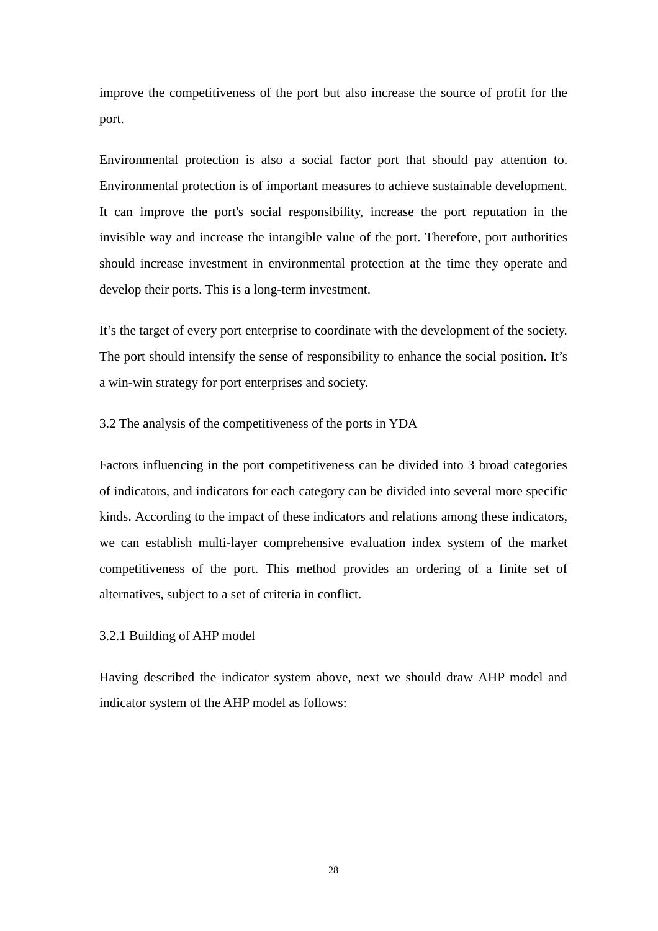improve the competitiveness of the port but also increase the source of profit for the port.

Environmental protection is also a social factor port that should pay attention to. Environmental protection is of important measures to achieve sustainable development. It can improve the port's social responsibility, increase the port reputation in the invisible way and increase the intangible value of the port. Therefore, port authorities should increase investment in environmental protection at the time they operate and develop their ports. This is a long-term investment.

It's the target of every port enterprise to coordinate with the development of the society. The port should intensify the sense of responsibility to enhance the social position. It's a win-win strategy for port enterprises and society.

3.2 The analysis of the competitiveness of the ports in YDA

Factors influencing in the port competitiveness can be divided into 3 broad categories of indicators, and indicators for each category can be divided into several more specific kinds. According to the impact of these indicators and relations among these indicators, we can establish multi-layer comprehensive evaluation index system of the market competitiveness of the port. This method provides an ordering of a finite set of alternatives, subject to a set of criteria in conflict.

3.2.1 Building of AHP model

Having described the indicator system above, next we should draw AHP model and indicator system of the AHP model as follows: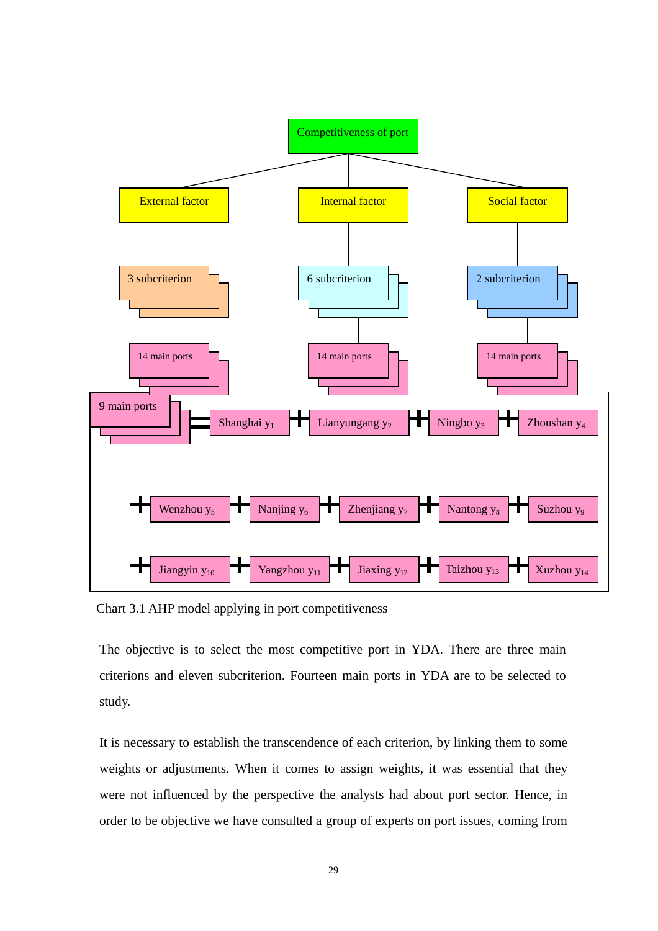

Chart 3.1 AHP model applying in port competitiveness

The objective is to select the most competitive port in YDA. There are three main criterions and eleven subcriterion. Fourteen main ports in YDA are to be selected to study.

It is necessary to establish the transcendence of each criterion, by linking them to some weights or adjustments. When it comes to assign weights, it was essential that they were not influenced by the perspective the analysts had about port sector. Hence, in order to be objective we have consulted a group of experts on port issues, coming from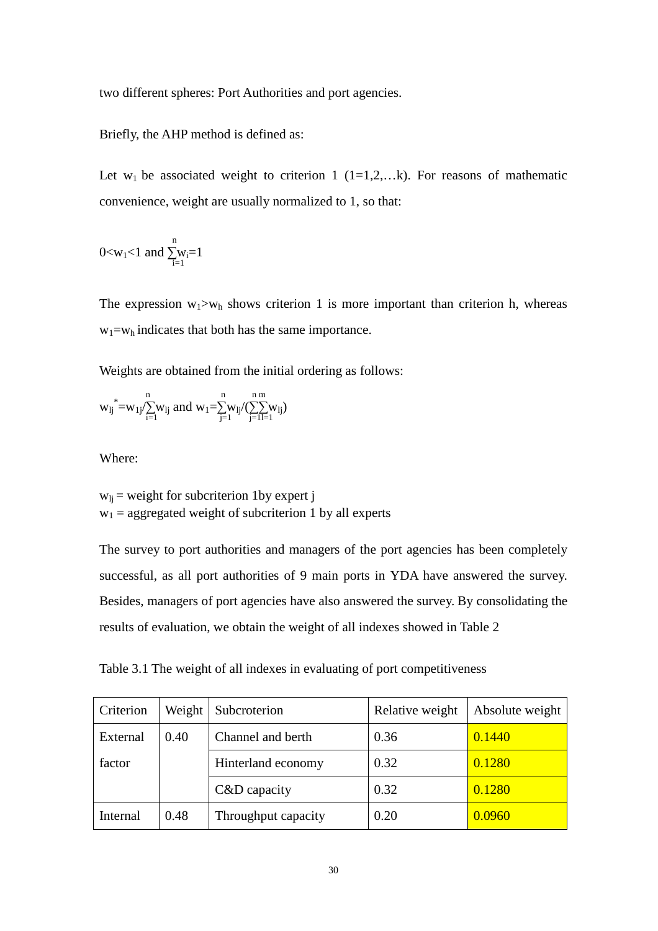two different spheres: Port Authorities and port agencies.

Briefly, the AHP method is defined as:

Let  $w_1$  be associated weight to criterion 1 (1=1,2,...k). For reasons of mathematic convenience, weight are usually normalized to 1, so that:

$$
0{<}w_1{<}1 \text{ and } \sum_{i=1}^n w_i{=}1
$$

The expression  $w_1>w_h$  shows criterion 1 is more important than criterion h, whereas  $w_1 = w_h$  indicates that both has the same importance.

Weights are obtained from the initial ordering as follows:

$$
{w_{lj}}^*\!\!=\!\!w_{1j}\!\bigl/\!\!\!\sum_{i=1}^n\!\!w_{lj}\text{ and }w_{1}\!\!=\!\!\!\sum_{j=1}^n\!\!w_{lj}\!\bigl/\bigl(\sum_{j=1}^n\!\! \sum_{l=1}^m\!\!w_{lj}\bigr)
$$

Where:

 $w_{1i}$  = weight for subcriterion 1by expert j  $w_1$  = aggregated weight of subcriterion 1 by all experts

The survey to port authorities and managers of the port agencies has been completely successful, as all port authorities of 9 main ports in YDA have answered the survey. Besides, managers of port agencies have also answered the survey. By consolidating the results of evaluation, we obtain the weight of all indexes showed in Table 2

Table 3.1 The weight of all indexes in evaluating of port competitiveness

| Criterion | Weight | Subcroterion        | Relative weight | Absolute weight |
|-----------|--------|---------------------|-----------------|-----------------|
| External  | 0.40   | Channel and berth   | 0.36            | 0.1440          |
| factor    |        | Hinterland economy  | 0.32            | 0.1280          |
|           |        | $C&D$ capacity      | 0.32            | 0.1280          |
| Internal  | 0.48   | Throughput capacity | 0.20            | 0.0960          |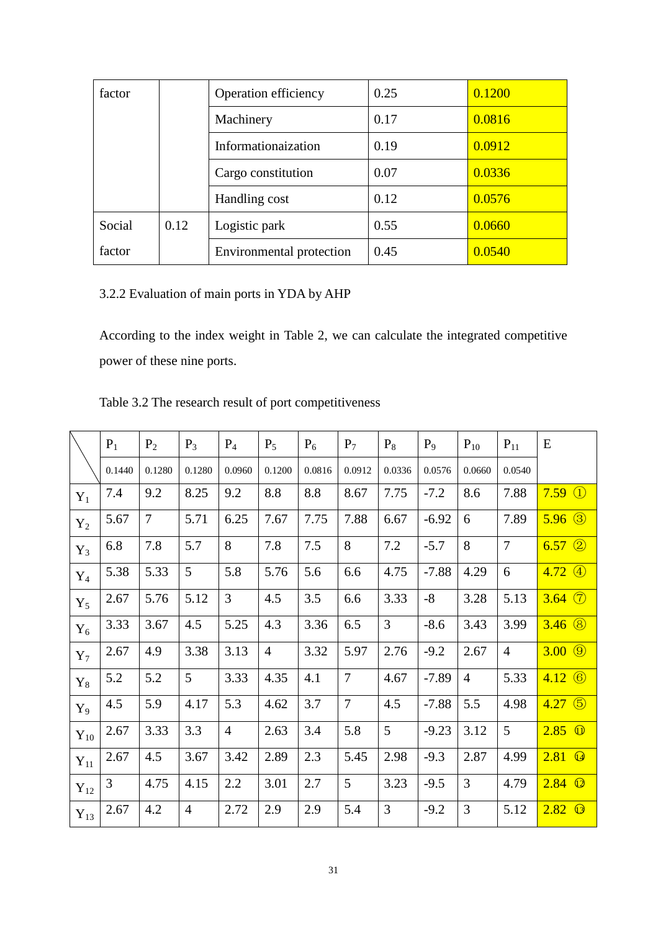| factor |      | Operation efficiency     | 0.25 | 0.1200 |
|--------|------|--------------------------|------|--------|
|        |      | Machinery                | 0.17 | 0.0816 |
|        |      | Informationaization      | 0.19 | 0.0912 |
|        |      | Cargo constitution       | 0.07 | 0.0336 |
|        |      | Handling cost            | 0.12 | 0.0576 |
| Social | 0.12 | Logistic park            | 0.55 | 0.0660 |
| factor |      | Environmental protection | 0.45 | 0.0540 |

3.2.2 Evaluation of main ports in YDA by AHP

According to the index weight in Table 2, we can calculate the integrated competitive power of these nine ports.

|          | $P_1$  | $P_2$          | $P_3$          | $P_4$          | $P_5$          | $P_6$  | $P_7$  | $P_8$          | $P_9$   | $P_{10}$       | $P_{11}$       | E                       |
|----------|--------|----------------|----------------|----------------|----------------|--------|--------|----------------|---------|----------------|----------------|-------------------------|
|          | 0.1440 | 0.1280         | 0.1280         | 0.0960         | 0.1200         | 0.0816 | 0.0912 | 0.0336         | 0.0576  | 0.0660         | 0.0540         |                         |
| $Y_1$    | 7.4    | 9.2            | 8.25           | 9.2            | 8.8            | 8.8    | 8.67   | 7.75           | $-7.2$  | 8.6            | 7.88           | $7.59 \text{ }^{\circ}$ |
| $Y_2$    | 5.67   | $\overline{7}$ | 5.71           | 6.25           | 7.67           | 7.75   | 7.88   | 6.67           | $-6.92$ | 6              | 7.89           | $5.96$ $\circled{3}$    |
| $Y_3$    | 6.8    | 7.8            | 5.7            | 8              | 7.8            | 7.5    | 8      | 7.2            | $-5.7$  | 8              | $\tau$         | $6.57$ ②                |
| $Y_4$    | 5.38   | 5.33           | 5              | 5.8            | 5.76           | 5.6    | 6.6    | 4.75           | $-7.88$ | 4.29           | 6              | $4.72 \; (4)$           |
| $Y_5$    | 2.67   | 5.76           | 5.12           | 3              | 4.5            | 3.5    | 6.6    | 3.33           | $-8$    | 3.28           | 5.13           | $3.64$ $\circled{7}$    |
| $Y_6$    | 3.33   | 3.67           | 4.5            | 5.25           | 4.3            | 3.36   | 6.5    | $\overline{3}$ | $-8.6$  | 3.43           | 3.99           | $3.46$ $\circled{8}$    |
| $Y_7$    | 2.67   | 4.9            | 3.38           | 3.13           | $\overline{4}$ | 3.32   | 5.97   | 2.76           | $-9.2$  | 2.67           | $\overline{4}$ | $3.00 \; \circled{9}$   |
| $Y_8$    | 5.2    | 5.2            | 5              | 3.33           | 4.35           | 4.1    | $\tau$ | 4.67           | $-7.89$ | $\overline{4}$ | 5.33           | $4.12 \&$               |
| $Y_9$    | 4.5    | 5.9            | 4.17           | 5.3            | 4.62           | 3.7    | $\tau$ | 4.5            | $-7.88$ | 5.5            | 4.98           | $4.27$ (5)              |
| $Y_{10}$ | 2.67   | 3.33           | 3.3            | $\overline{4}$ | 2.63           | 3.4    | 5.8    | 5              | $-9.23$ | 3.12           | 5              | $2.85$ $\omega$         |
| $Y_{11}$ | 2.67   | 4.5            | 3.67           | 3.42           | 2.89           | 2.3    | 5.45   | 2.98           | $-9.3$  | 2.87           | 4.99           | $2.81$ $@$              |
| $Y_{12}$ | 3      | 4.75           | 4.15           | 2.2            | 3.01           | 2.7    | 5      | 3.23           | $-9.5$  | 3              | 4.79           | $2.84$ $\circledcirc$   |
| $Y_{13}$ | 2.67   | 4.2            | $\overline{4}$ | 2.72           | 2.9            | 2.9    | 5.4    | 3              | $-9.2$  | 3              | 5.12           | $2.82$ $\circledcirc$   |

Table 3.2 The research result of port competitiveness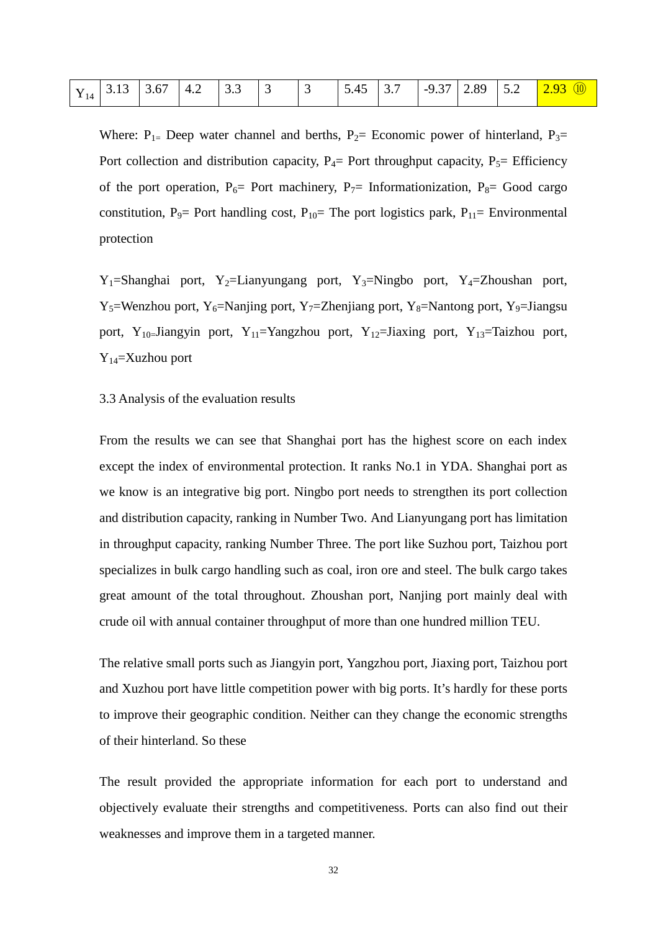|  |  |  |  |  |  | $Y_{14}$ 3.13 3.67 4.2 3.3 3 43 5.45 3.7 -9.37 2.89 5.2 2.93 $\mu$ |
|--|--|--|--|--|--|--------------------------------------------------------------------|
|  |  |  |  |  |  |                                                                    |

Where:  $P_{1=}$  Deep water channel and berths,  $P_{2=}$  Economic power of hinterland,  $P_{3=}$ Port collection and distribution capacity,  $P_4$ = Port throughput capacity,  $P_5$ = Efficiency of the port operation,  $P_6$ = Port machinery,  $P_7$ = Informationization,  $P_8$ = Good cargo constitution, P<sub>9</sub>= Port handling cost, P<sub>10</sub>= The port logistics park, P<sub>11</sub>= Environmental protection

 $Y_1$ =Shanghai port, Y<sub>2</sub>=Lianyungang port, Y<sub>3</sub>=Ningbo port, Y<sub>4</sub>=Zhoushan port,  $Y_5$ =Wenzhou port, Y<sub>6</sub>=Nanjing port, Y<sub>7</sub>=Zhenjiang port, Y<sub>8</sub>=Nantong port, Y<sub>9</sub>=Jiangsu port, Y<sub>10=</sub>Jiangyin port, Y<sub>11</sub>=Yangzhou port, Y<sub>12</sub>=Jiaxing port, Y<sub>13</sub>=Taizhou port, Y14=Xuzhou port

#### 3.3 Analysis of the evaluation results

From the results we can see that Shanghai port has the highest score on each index except the index of environmental protection. It ranks No.1 in YDA. Shanghai port as we know is an integrative big port. Ningbo port needs to strengthen its port collection and distribution capacity, ranking in Number Two. And Lianyungang port has limitation in throughput capacity, ranking Number Three. The port like Suzhou port, Taizhou port specializes in bulk cargo handling such as coal, iron ore and steel. The bulk cargo takes great amount of the total throughout. Zhoushan port, Nanjing port mainly deal with crude oil with annual container throughput of more than one hundred million TEU.

The relative small ports such as Jiangyin port, Yangzhou port, Jiaxing port, Taizhou port and Xuzhou port have little competition power with big ports. It's hardly for these ports to improve their geographic condition. Neither can they change the economic strengths of their hinterland. So these

The result provided the appropriate information for each port to understand and objectively evaluate their strengths and competitiveness. Ports can also find out their weaknesses and improve them in a targeted manner.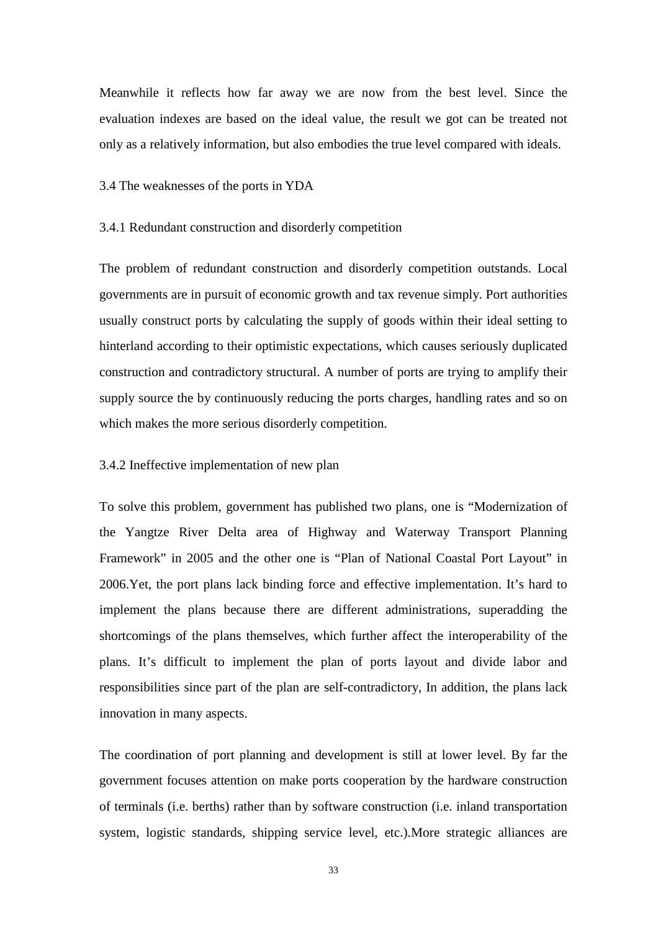Meanwhile it reflects how far away we are now from the best level. Since the evaluation indexes are based on the ideal value, the result we got can be treated not only as a relatively information, but also embodies the true level compared with ideals.

#### 3.4 The weaknesses of the ports in YDA

#### 3.4.1 Redundant construction and disorderly competition

The problem of redundant construction and disorderly competition outstands. Local governments are in pursuit of economic growth and tax revenue simply. Port authorities usually construct ports by calculating the supply of goods within their ideal setting to hinterland according to their optimistic expectations, which causes seriously duplicated construction and contradictory structural. A number of ports are trying to amplify their supply source the by continuously reducing the ports charges, handling rates and so on which makes the more serious disorderly competition.

#### 3.4.2 Ineffective implementation of new plan

To solve this problem, government has published two plans, one is "Modernization of the Yangtze River Delta area of Highway and Waterway Transport Planning Framework" in 2005 and the other one is "Plan of National Coastal Port Layout" in 2006.Yet, the port plans lack binding force and effective implementation. It's hard to implement the plans because there are different administrations, superadding the shortcomings of the plans themselves, which further affect the interoperability of the plans. It's difficult to implement the plan of ports layout and divide labor and responsibilities since part of the plan are self-contradictory, In addition, the plans lack innovation in many aspects.

The coordination of port planning and development is still at lower level. By far the government focuses attention on make ports cooperation by the hardware construction of terminals (i.e. berths) rather than by software construction (i.e. inland transportation system, logistic standards, shipping service level, etc.).More strategic alliances are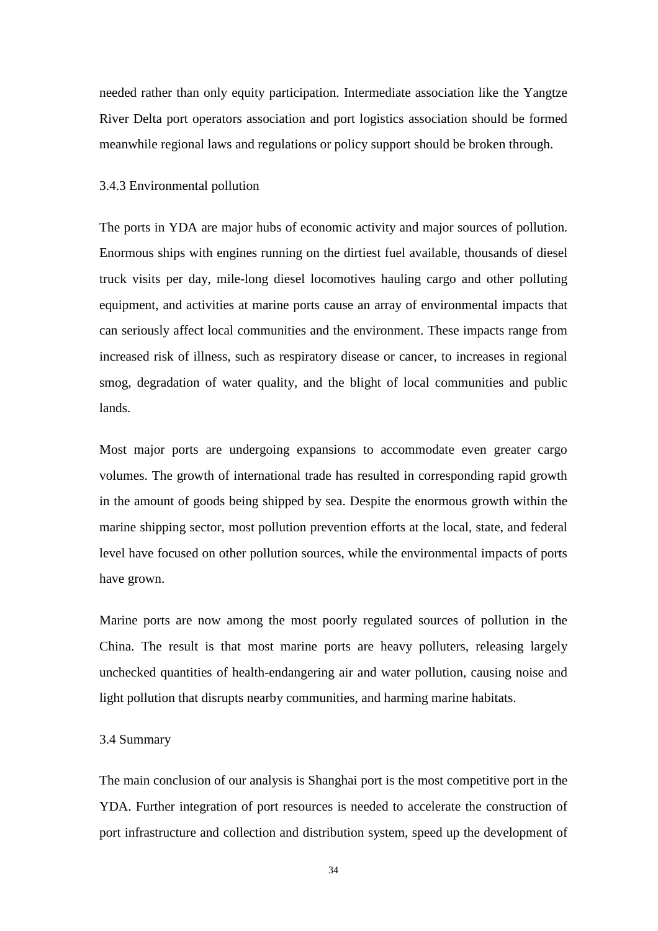needed rather than only equity participation. Intermediate association like the Yangtze River Delta port operators association and port logistics association should be formed meanwhile regional laws and regulations or policy support should be broken through.

#### 3.4.3 Environmental pollution

The ports in YDA are major hubs of economic activity and major sources of pollution. Enormous ships with engines running on the dirtiest fuel available, thousands of diesel truck visits per day, mile-long diesel locomotives hauling cargo and other polluting equipment, and activities at marine ports cause an array of environmental impacts that can seriously affect local communities and the environment. These impacts range from increased risk of illness, such as respiratory disease or cancer, to increases in regional smog, degradation of water quality, and the blight of local communities and public lands.

Most major ports are undergoing expansions to accommodate even greater cargo volumes. The growth of international trade has resulted in corresponding rapid growth in the amount of goods being shipped by sea. Despite the enormous growth within the marine shipping sector, most pollution prevention efforts at the local, state, and federal level have focused on other pollution sources, while the environmental impacts of ports have grown.

Marine ports are now among the most poorly regulated sources of pollution in the China. The result is that most marine ports are heavy polluters, releasing largely unchecked quantities of health-endangering air and water pollution, causing noise and light pollution that disrupts nearby communities, and harming marine habitats.

#### 3.4 Summary

The main conclusion of our analysis is Shanghai port is the most competitive port in the YDA. Further integration of port resources is needed to accelerate the construction of port infrastructure and collection and distribution system, speed up the development of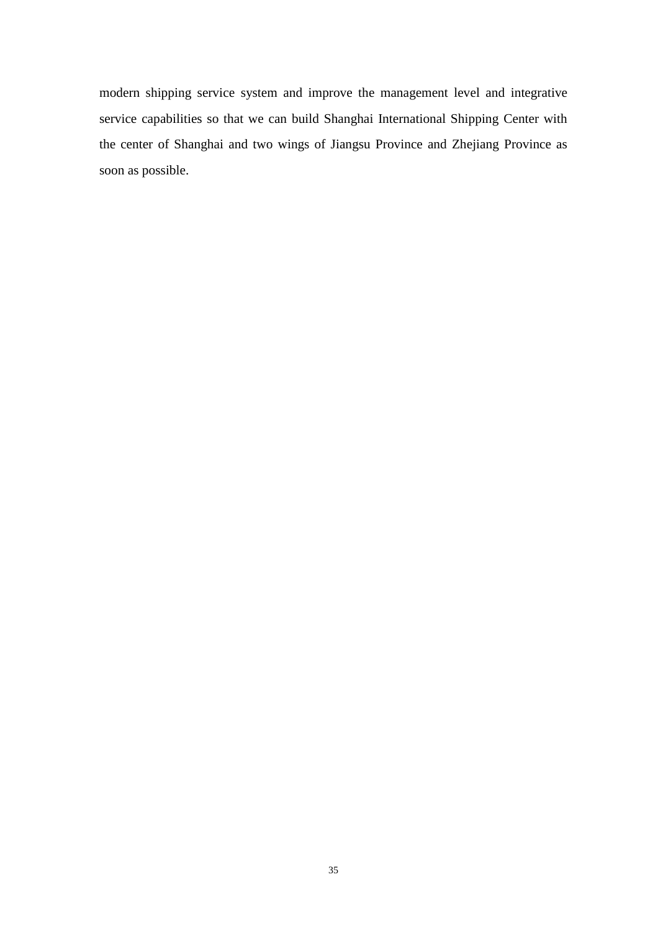modern shipping service system and improve the management level and integrative service capabilities so that we can build Shanghai International Shipping Center with the center of Shanghai and two wings of Jiangsu Province and Zhejiang Province as soon as possible.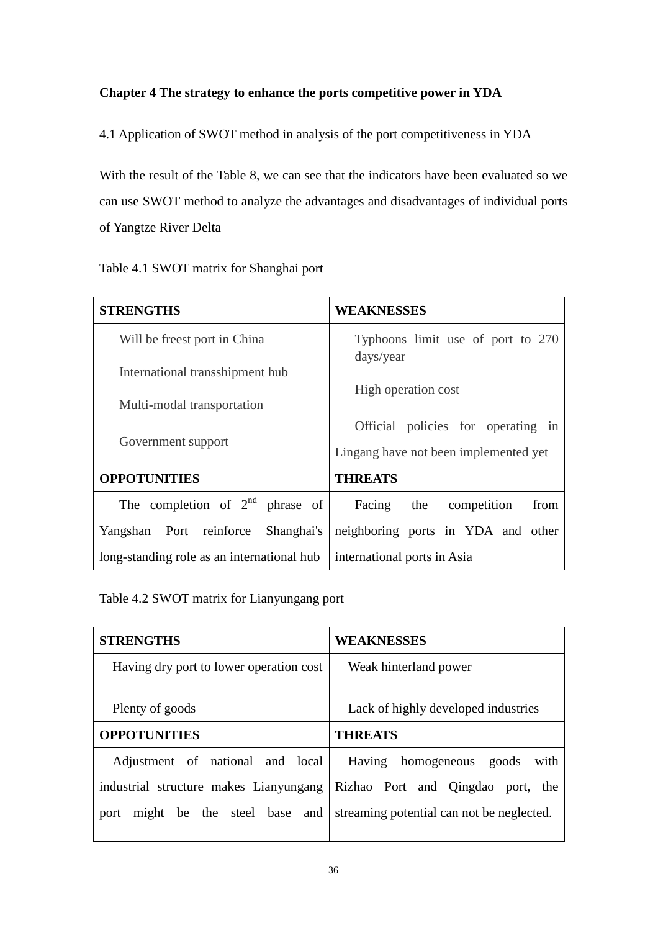### **Chapter 4 The strategy to enhance the ports competitive power in YDA**

4.1 Application of SWOT method in analysis of the port competitiveness in YDA

With the result of the Table 8, we can see that the indicators have been evaluated so we can use SWOT method to analyze the advantages and disadvantages of individual ports of Yangtze River Delta

| Table 4.1 SWOT matrix for Shanghai port |  |  |  |
|-----------------------------------------|--|--|--|
|-----------------------------------------|--|--|--|

| <b>STRENGTHS</b>                           | <b>WEAKNESSES</b>                              |  |  |  |
|--------------------------------------------|------------------------------------------------|--|--|--|
| Will be freest port in China               | Typhoons limit use of port to 270<br>days/year |  |  |  |
| International transshipment hub            |                                                |  |  |  |
| Multi-modal transportation                 | High operation cost                            |  |  |  |
|                                            | Official policies for operating in             |  |  |  |
| Government support                         | Lingang have not been implemented yet          |  |  |  |
| <b>OPPOTUNITIES</b>                        | <b>THREATS</b>                                 |  |  |  |
| The completion of $2nd$ phrase of          | Facing the competition<br>from                 |  |  |  |
| Port reinforce Shanghai's<br>Yangshan      | neighboring ports in YDA and other             |  |  |  |
| long-standing role as an international hub | international ports in Asia                    |  |  |  |

Table 4.2 SWOT matrix for Lianyungang port

| <b>STRENGTHS</b>                        | <b>WEAKNESSES</b>                         |  |  |  |
|-----------------------------------------|-------------------------------------------|--|--|--|
| Having dry port to lower operation cost | Weak hinterland power                     |  |  |  |
|                                         |                                           |  |  |  |
| Plenty of goods                         | Lack of highly developed industries       |  |  |  |
| <b>OPPOTUNITIES</b>                     | <b>THREATS</b>                            |  |  |  |
| Adjustment of national and local        | Having homogeneous<br>with<br>goods       |  |  |  |
| industrial structure makes Lianyungang  | Rizhao Port and Qingdao port, the         |  |  |  |
| might be the steel base and<br>port     | streaming potential can not be neglected. |  |  |  |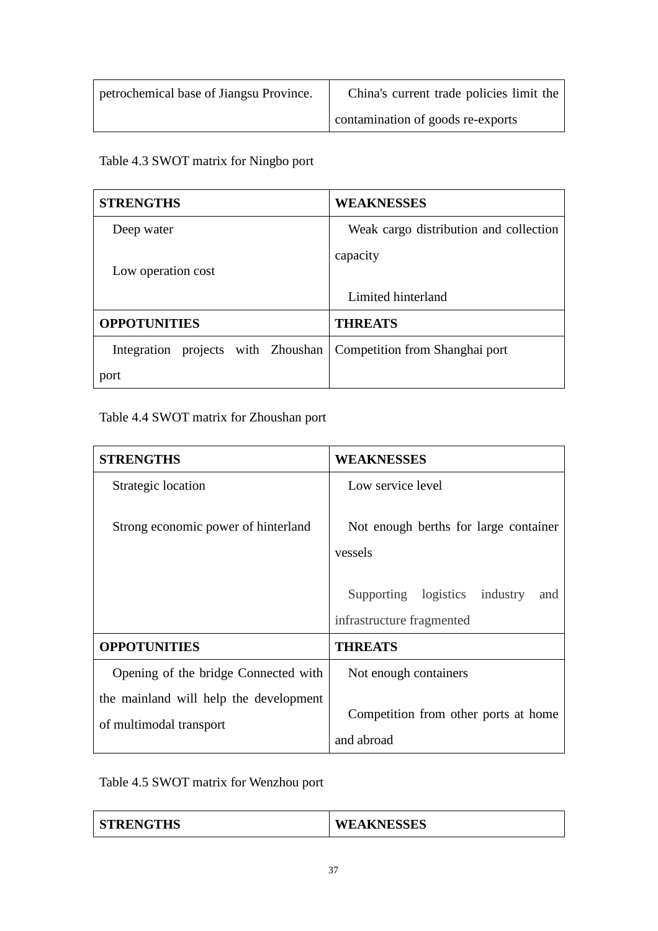| petrochemical base of Jiangsu Province. | China's current trade policies limit the |
|-----------------------------------------|------------------------------------------|
|                                         | contamination of goods re-exports        |

Table 4.3 SWOT matrix for Ningbo port

| <b>STRENGTHS</b>                   | <b>WEAKNESSES</b>                      |
|------------------------------------|----------------------------------------|
| Deep water                         | Weak cargo distribution and collection |
| Low operation cost                 | capacity                               |
|                                    | Limited hinterland                     |
| <b>OPPOTUNITIES</b>                | <b>THREATS</b>                         |
| Integration projects with Zhoushan | Competition from Shanghai port         |
| port                               |                                        |

Table 4.4 SWOT matrix for Zhoushan port

| <b>STRENGTHS</b>                                                  | <b>WEAKNESSES</b>                                                                           |
|-------------------------------------------------------------------|---------------------------------------------------------------------------------------------|
| Strategic location                                                | Low service level                                                                           |
| Strong economic power of hinterland                               | Not enough berths for large container<br>vessels<br>Supporting logistics<br>industry<br>and |
|                                                                   |                                                                                             |
|                                                                   | infrastructure fragmented                                                                   |
| <b>OPPOTUNITIES</b>                                               | <b>THREATS</b>                                                                              |
| Opening of the bridge Connected with                              | Not enough containers                                                                       |
| the mainland will help the development<br>of multimodal transport | Competition from other ports at home<br>and abroad                                          |

Table 4.5 SWOT matrix for Wenzhou port

| <b>TRENGTHS</b> | <b>EAKNESSES</b><br>W. |
|-----------------|------------------------|
|                 |                        |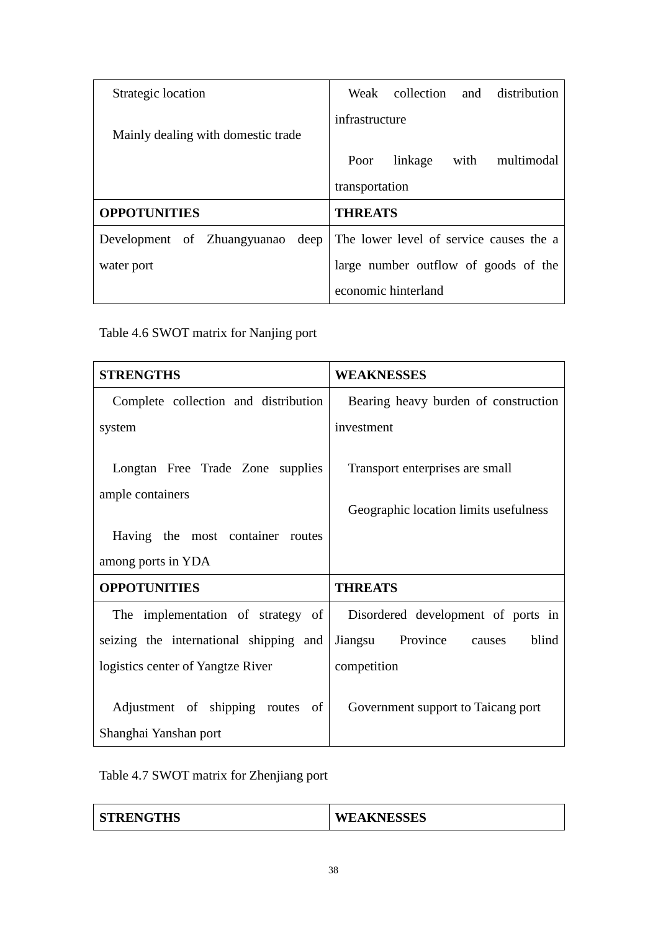| Strategic location                  | Weak collection and distribution        |
|-------------------------------------|-----------------------------------------|
| Mainly dealing with domestic trade  | infrastructure                          |
|                                     | linkage<br>with<br>multimodal<br>Poor   |
|                                     | transportation                          |
| <b>OPPOTUNITIES</b>                 | <b>THREATS</b>                          |
| deep<br>Development of Zhuangyuanao | The lower level of service causes the a |
| water port                          | large number outflow of goods of the    |
|                                     | economic hinterland                     |

Table 4.6 SWOT matrix for Nanjing port

| <b>STRENGTHS</b>                                          | <b>WEAKNESSES</b>                                                        |
|-----------------------------------------------------------|--------------------------------------------------------------------------|
| Complete collection and distribution                      | Bearing heavy burden of construction                                     |
| system                                                    | investment                                                               |
| Longtan Free Trade Zone supplies<br>ample containers      | Transport enterprises are small<br>Geographic location limits usefulness |
| Having the most container routes                          |                                                                          |
| among ports in YDA                                        |                                                                          |
| <b>OPPOTUNITIES</b>                                       | <b>THREATS</b>                                                           |
| The implementation of strategy of                         | Disordered development of ports in                                       |
| seizing the international shipping and                    | Jiangsu Province<br>blind<br>causes                                      |
| logistics center of Yangtze River                         | competition                                                              |
| Adjustment of shipping routes of<br>Shanghai Yanshan port | Government support to Taicang port                                       |

Table 4.7 SWOT matrix for Zhenjiang port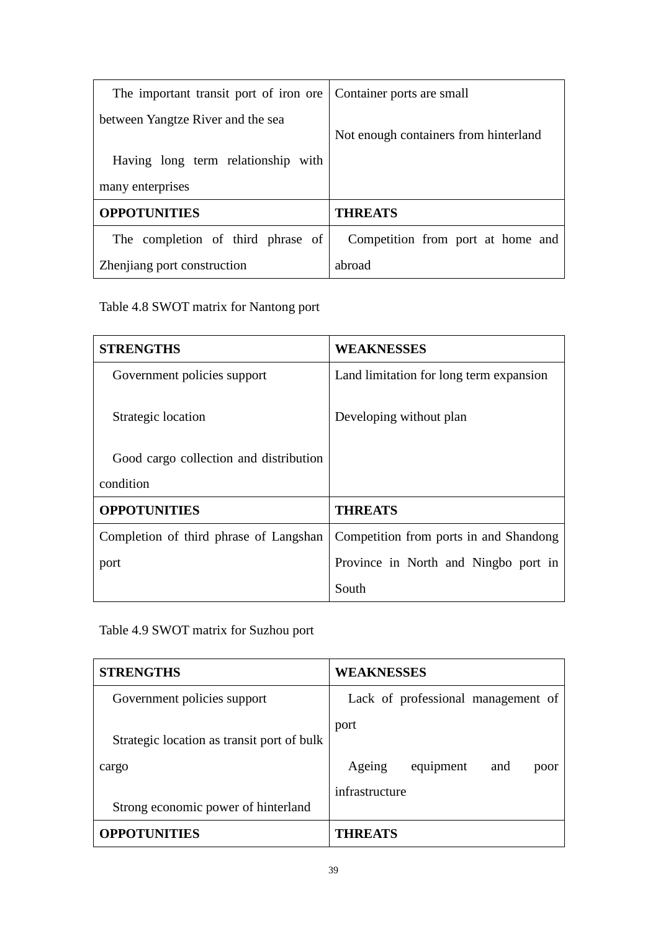| The important transit port of iron ore | Container ports are small             |
|----------------------------------------|---------------------------------------|
| between Yangtze River and the sea      | Not enough containers from hinterland |
| Having long term relationship with     |                                       |
| many enterprises                       |                                       |
| <b>OPPOTUNITIES</b>                    | <b>THREATS</b>                        |
| The completion of third phrase of      | Competition from port at home and     |
| Zhenjiang port construction            | abroad                                |

Table 4.8 SWOT matrix for Nantong port

| <b>STRENGTHS</b>                       | <b>WEAKNESSES</b>                       |
|----------------------------------------|-----------------------------------------|
| Government policies support            | Land limitation for long term expansion |
| Strategic location                     | Developing without plan                 |
| Good cargo collection and distribution |                                         |
| condition                              |                                         |
| <b>OPPOTUNITIES</b>                    | <b>THREATS</b>                          |
| Completion of third phrase of Langshan | Competition from ports in and Shandong  |
| port                                   | Province in North and Ningbo port in    |
|                                        | South                                   |

Table 4.9 SWOT matrix for Suzhou port

| <b>STRENGTHS</b>                           | <b>WEAKNESSES</b>                  |
|--------------------------------------------|------------------------------------|
| Government policies support                | Lack of professional management of |
| Strategic location as transit port of bulk | port                               |
| cargo                                      | Ageing<br>equipment<br>and<br>poor |
| Strong economic power of hinterland        | infrastructure                     |
| <b>OPPOTUNITIES</b>                        | <b>THREATS</b>                     |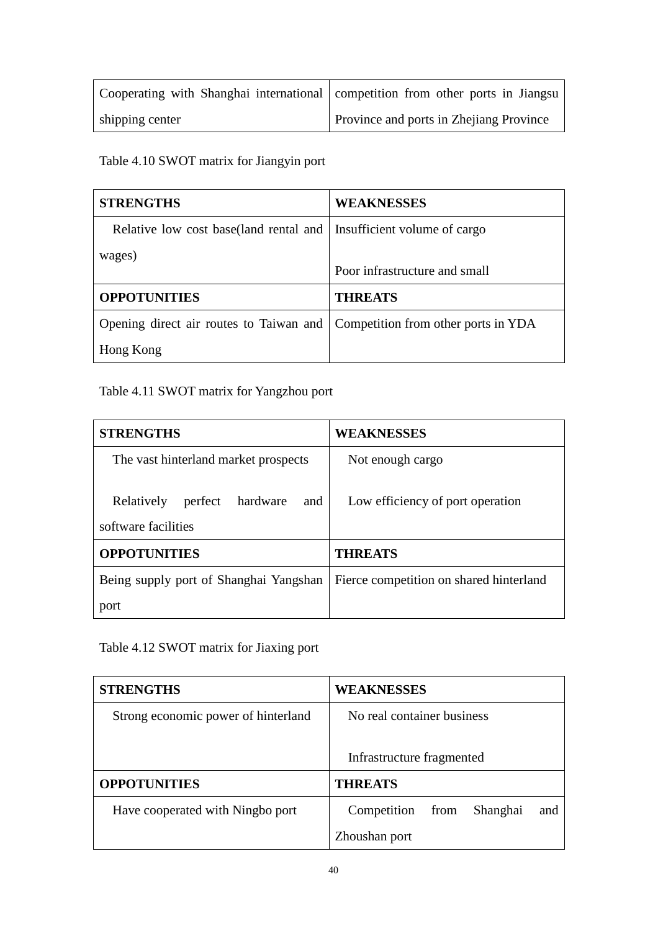| Cooperating with Shanghai international competition from other ports in Jiangsu |                                                |
|---------------------------------------------------------------------------------|------------------------------------------------|
| shipping center                                                                 | <b>Province and ports in Zhejiang Province</b> |

# Table 4.10 SWOT matrix for Jiangyin port

| <b>STRENGTHS</b>                                                            | <b>WEAKNESSES</b>             |
|-----------------------------------------------------------------------------|-------------------------------|
| Relative low cost base(land rental and   Insufficient volume of cargo       |                               |
| wages)                                                                      |                               |
|                                                                             | Poor infrastructure and small |
| <b>OPPOTUNITIES</b>                                                         | <b>THREATS</b>                |
| Opening direct air routes to Taiwan and Competition from other ports in YDA |                               |
| Hong Kong                                                                   |                               |

## Table 4.11 SWOT matrix for Yangzhou port

| <b>STRENGTHS</b>                                                | <b>WEAKNESSES</b>                       |
|-----------------------------------------------------------------|-----------------------------------------|
| The vast hinterland market prospects                            | Not enough cargo                        |
| hardware<br>Relatively<br>perfect<br>and<br>software facilities | Low efficiency of port operation        |
| <b>OPPOTUNITIES</b>                                             | <b>THREATS</b>                          |
| Being supply port of Shanghai Yangshan                          | Fierce competition on shared hinterland |
| port                                                            |                                         |

Table 4.12 SWOT matrix for Jiaxing port

| <b>STRENGTHS</b>                    | <b>WEAKNESSES</b>                      |
|-------------------------------------|----------------------------------------|
| Strong economic power of hinterland | No real container business             |
|                                     | Infrastructure fragmented              |
| <b>OPPOTUNITIES</b>                 | <b>THREATS</b>                         |
| Have cooperated with Ningbo port    | Shanghai<br>Competition<br>from<br>and |
|                                     | Zhoushan port                          |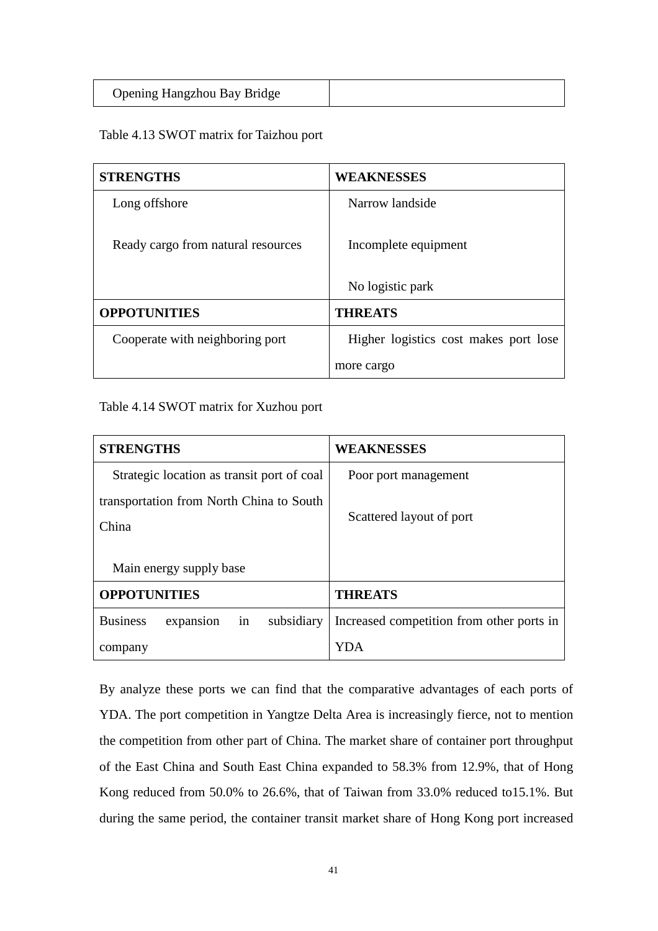| <b>Opening Hangzhou Bay Bridge</b> |  |
|------------------------------------|--|
|------------------------------------|--|

#### Table 4.13 SWOT matrix for Taizhou port

| <b>STRENGTHS</b>                   | <b>WEAKNESSES</b>                     |
|------------------------------------|---------------------------------------|
| Long offshore                      | Narrow landside                       |
| Ready cargo from natural resources | Incomplete equipment                  |
|                                    | No logistic park                      |
| <b>OPPOTUNITIES</b>                | <b>THREATS</b>                        |
| Cooperate with neighboring port    | Higher logistics cost makes port lose |
|                                    | more cargo                            |

Table 4.14 SWOT matrix for Xuzhou port

| <b>STRENGTHS</b>                                  | <b>WEAKNESSES</b>                         |
|---------------------------------------------------|-------------------------------------------|
| Strategic location as transit port of coal        | Poor port management                      |
| transportation from North China to South<br>China | Scattered layout of port                  |
| Main energy supply base                           |                                           |
| <b>OPPOTUNITIES</b>                               | <b>THREATS</b>                            |
| <b>Business</b><br>subsidiary<br>expansion<br>in  | Increased competition from other ports in |
| company                                           | YDA                                       |

By analyze these ports we can find that the comparative advantages of each ports of YDA. The port competition in Yangtze Delta Area is increasingly fierce, not to mention the competition from other part of China. The market share of container port throughput of the East China and South East China expanded to 58.3% from 12.9%, that of Hong Kong reduced from 50.0% to 26.6%, that of Taiwan from 33.0% reduced to15.1%. But during the same period, the container transit market share of Hong Kong port increased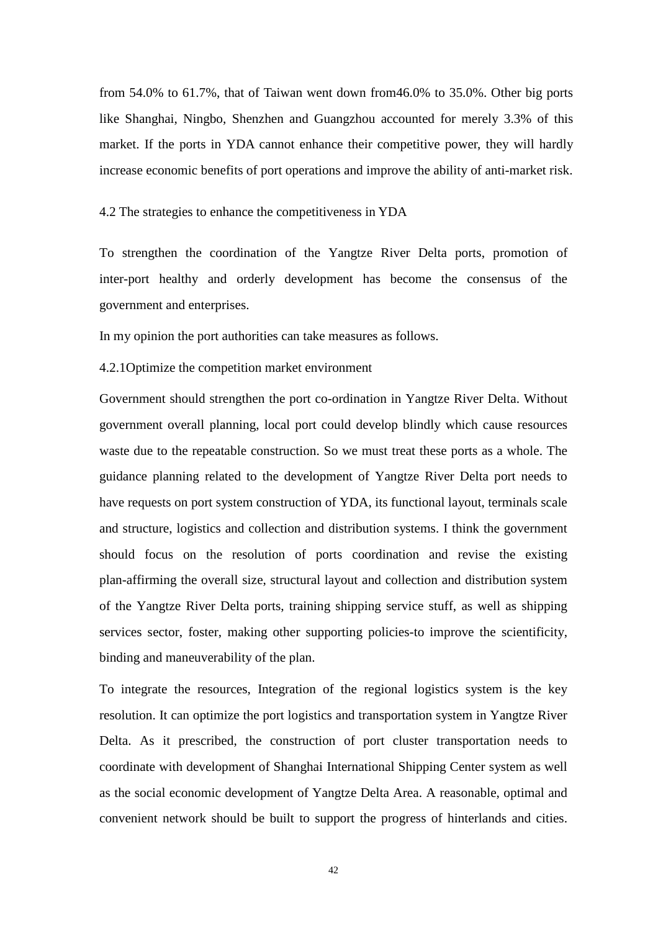from 54.0% to 61.7%, that of Taiwan went down from46.0% to 35.0%. Other big ports like Shanghai, Ningbo, Shenzhen and Guangzhou accounted for merely 3.3% of this market. If the ports in YDA cannot enhance their competitive power, they will hardly increase economic benefits of port operations and improve the ability of anti-market risk.

4.2 The strategies to enhance the competitiveness in YDA

To strengthen the coordination of the Yangtze River Delta ports, promotion of inter-port healthy and orderly development has become the consensus of the government and enterprises.

In my opinion the port authorities can take measures as follows.

4.2.1Optimize the competition market environment

Government should strengthen the port co-ordination in Yangtze River Delta. Without government overall planning, local port could develop blindly which cause resources waste due to the repeatable construction. So we must treat these ports as a whole. The guidance planning related to the development of Yangtze River Delta port needs to have requests on port system construction of YDA, its functional layout, terminals scale and structure, logistics and collection and distribution systems. I think the government should focus on the resolution of ports coordination and revise the existing plan-affirming the overall size, structural layout and collection and distribution system of the Yangtze River Delta ports, training shipping service stuff, as well as shipping services sector, foster, making other supporting policies-to improve the scientificity, binding and maneuverability of the plan.

To integrate the resources, Integration of the regional logistics system is the key resolution. It can optimize the port logistics and transportation system in Yangtze River Delta. As it prescribed, the construction of port cluster transportation needs to coordinate with development of Shanghai International Shipping Center system as well as the social economic development of Yangtze Delta Area. A reasonable, optimal and convenient network should be built to support the progress of hinterlands and cities.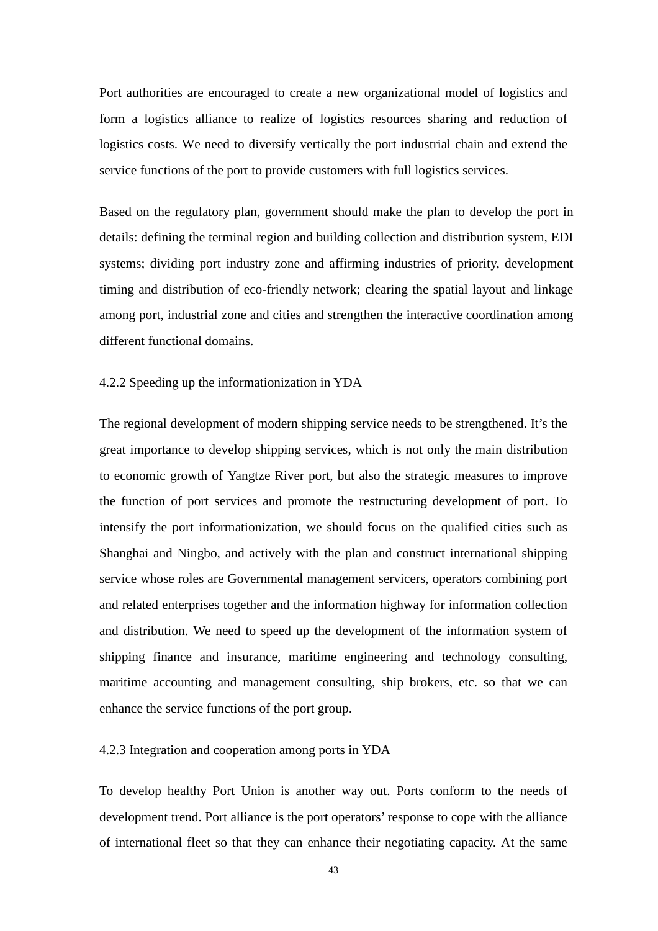Port authorities are encouraged to create a new organizational model of logistics and form a logistics alliance to realize of logistics resources sharing and reduction of logistics costs. We need to diversify vertically the port industrial chain and extend the service functions of the port to provide customers with full logistics services.

Based on the regulatory plan, government should make the plan to develop the port in details: defining the terminal region and building collection and distribution system, EDI systems; dividing port industry zone and affirming industries of priority, development timing and distribution of eco-friendly network; clearing the spatial layout and linkage among port, industrial zone and cities and strengthen the interactive coordination among different functional domains.

#### 4.2.2 Speeding up the informationization in YDA

The regional development of modern shipping service needs to be strengthened. It's the great importance to develop shipping services, which is not only the main distribution to economic growth of Yangtze River port, but also the strategic measures to improve the function of port services and promote the restructuring development of port. To intensify the port informationization, we should focus on the qualified cities such as Shanghai and Ningbo, and actively with the plan and construct international shipping service whose roles are Governmental management servicers, operators combining port and related enterprises together and the information highway for information collection and distribution. We need to speed up the development of the information system of shipping finance and insurance, maritime engineering and technology consulting, maritime accounting and management consulting, ship brokers, etc. so that we can enhance the service functions of the port group.

#### 4.2.3 Integration and cooperation among ports in YDA

To develop healthy Port Union is another way out. Ports conform to the needs of development trend. Port alliance is the port operators' response to cope with the alliance of international fleet so that they can enhance their negotiating capacity. At the same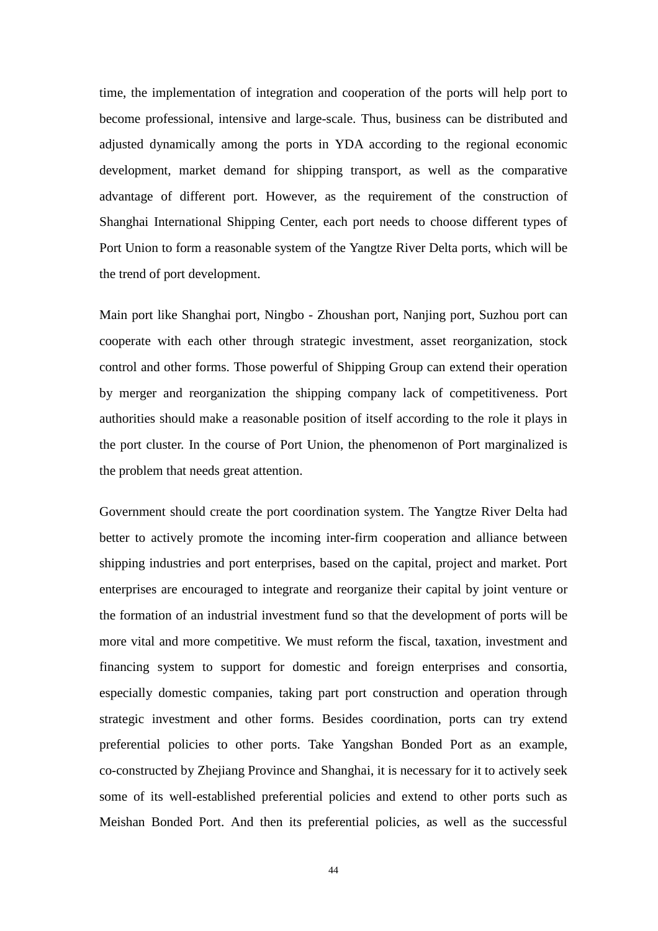time, the implementation of integration and cooperation of the ports will help port to become professional, intensive and large-scale. Thus, business can be distributed and adjusted dynamically among the ports in YDA according to the regional economic development, market demand for shipping transport, as well as the comparative advantage of different port. However, as the requirement of the construction of Shanghai International Shipping Center, each port needs to choose different types of Port Union to form a reasonable system of the Yangtze River Delta ports, which will be the trend of port development.

Main port like Shanghai port, Ningbo - Zhoushan port, Nanjing port, Suzhou port can cooperate with each other through strategic investment, asset reorganization, stock control and other forms. Those powerful of Shipping Group can extend their operation by merger and reorganization the shipping company lack of competitiveness. Port authorities should make a reasonable position of itself according to the role it plays in the port cluster. In the course of Port Union, the phenomenon of Port marginalized is the problem that needs great attention.

Government should create the port coordination system. The Yangtze River Delta had better to actively promote the incoming inter-firm cooperation and alliance between shipping industries and port enterprises, based on the capital, project and market. Port enterprises are encouraged to integrate and reorganize their capital by joint venture or the formation of an industrial investment fund so that the development of ports will be more vital and more competitive. We must reform the fiscal, taxation, investment and financing system to support for domestic and foreign enterprises and consortia, especially domestic companies, taking part port construction and operation through strategic investment and other forms. Besides coordination, ports can try extend preferential policies to other ports. Take Yangshan Bonded Port as an example, co-constructed by Zhejiang Province and Shanghai, it is necessary for it to actively seek some of its well-established preferential policies and extend to other ports such as Meishan Bonded Port. And then its preferential policies, as well as the successful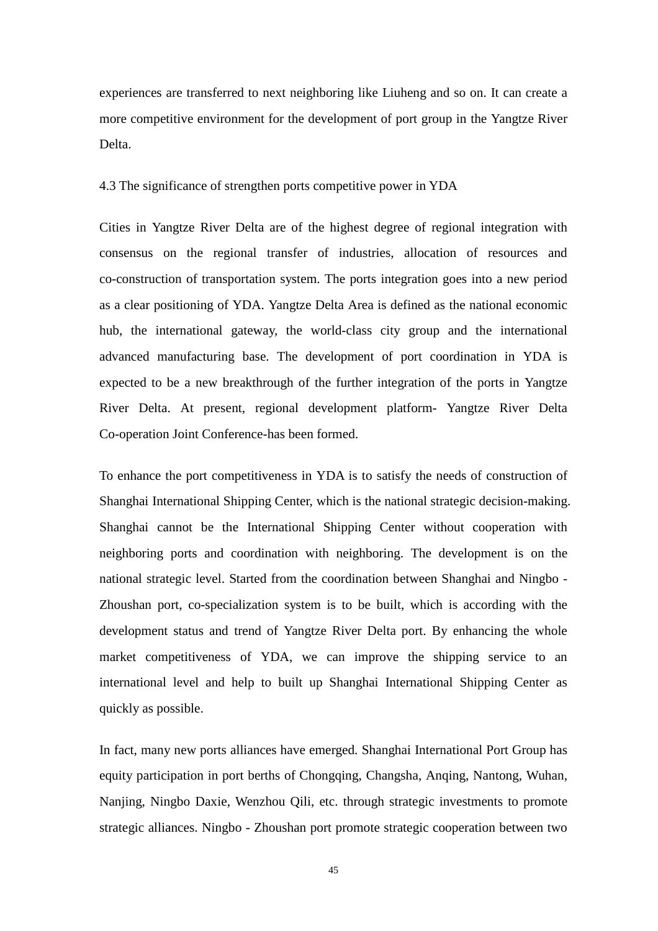experiences are transferred to next neighboring like Liuheng and so on. It can create a more competitive environment for the development of port group in the Yangtze River Delta.

#### 4.3 The significance of strengthen ports competitive power in YDA

Cities in Yangtze River Delta are of the highest degree of regional integration with consensus on the regional transfer of industries, allocation of resources and co-construction of transportation system. The ports integration goes into a new period as a clear positioning of YDA. Yangtze Delta Area is defined as the national economic hub, the international gateway, the world-class city group and the international advanced manufacturing base. The development of port coordination in YDA is expected to be a new breakthrough of the further integration of the ports in Yangtze River Delta. At present, regional development platform- Yangtze River Delta Co-operation Joint Conference-has been formed.

To enhance the port competitiveness in YDA is to satisfy the needs of construction of Shanghai International Shipping Center, which is the national strategic decision-making. Shanghai cannot be the International Shipping Center without cooperation with neighboring ports and coordination with neighboring. The development is on the national strategic level. Started from the coordination between Shanghai and Ningbo - Zhoushan port, co-specialization system is to be built, which is according with the development status and trend of Yangtze River Delta port. By enhancing the whole market competitiveness of YDA, we can improve the shipping service to an international level and help to built up Shanghai International Shipping Center as quickly as possible.

In fact, many new ports alliances have emerged. Shanghai International Port Group has equity participation in port berths of Chongqing, Changsha, Anqing, Nantong, Wuhan, Nanjing, Ningbo Daxie, Wenzhou Qili, etc. through strategic investments to promote strategic alliances. Ningbo - Zhoushan port promote strategic cooperation between two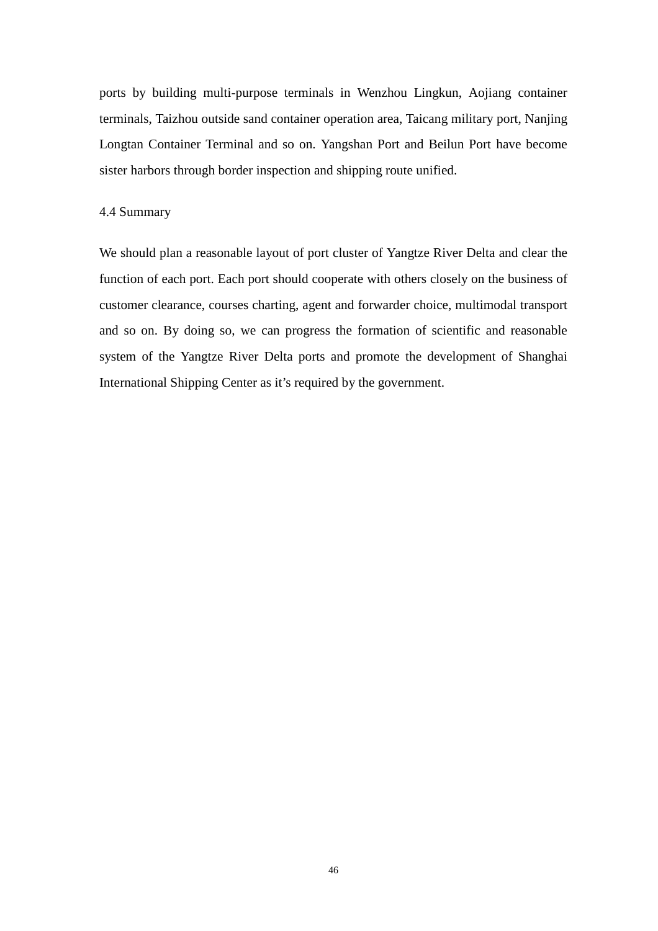ports by building multi-purpose terminals in Wenzhou Lingkun, Aojiang container terminals, Taizhou outside sand container operation area, Taicang military port, Nanjing Longtan Container Terminal and so on. Yangshan Port and Beilun Port have become sister harbors through border inspection and shipping route unified.

#### 4.4 Summary

We should plan a reasonable layout of port cluster of Yangtze River Delta and clear the function of each port. Each port should cooperate with others closely on the business of customer clearance, courses charting, agent and forwarder choice, multimodal transport and so on. By doing so, we can progress the formation of scientific and reasonable system of the Yangtze River Delta ports and promote the development of Shanghai International Shipping Center as it's required by the government.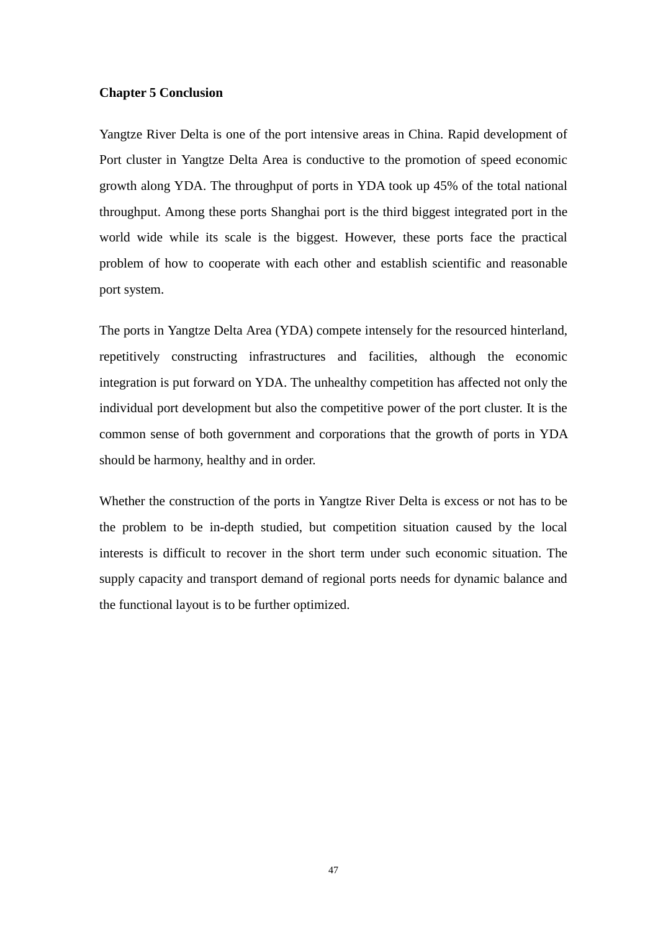#### **Chapter 5 Conclusion**

Yangtze River Delta is one of the port intensive areas in China. Rapid development of Port cluster in Yangtze Delta Area is conductive to the promotion of speed economic growth along YDA. The throughput of ports in YDA took up 45% of the total national throughput. Among these ports Shanghai port is the third biggest integrated port in the world wide while its scale is the biggest. However, these ports face the practical problem of how to cooperate with each other and establish scientific and reasonable port system.

The ports in Yangtze Delta Area (YDA) compete intensely for the resourced hinterland, repetitively constructing infrastructures and facilities, although the economic integration is put forward on YDA. The unhealthy competition has affected not only the individual port development but also the competitive power of the port cluster. It is the common sense of both government and corporations that the growth of ports in YDA should be harmony, healthy and in order.

Whether the construction of the ports in Yangtze River Delta is excess or not has to be the problem to be in-depth studied, but competition situation caused by the local interests is difficult to recover in the short term under such economic situation. The supply capacity and transport demand of regional ports needs for dynamic balance and the functional layout is to be further optimized.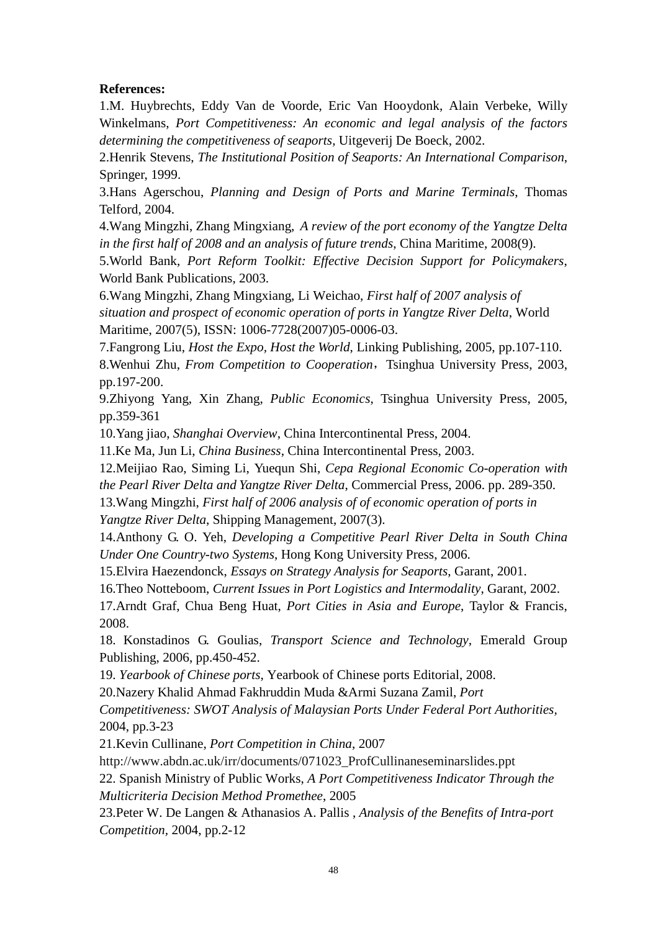#### **References:**

1.M. Huybrechts, Eddy Van de Voorde, Eric Van Hooydonk, Alain Verbeke, Willy Winkelmans, *Port Competitiveness: An economic and legal analysis of the factors determining the competitiveness of seaports,* Uitgeverij De Boeck, 2002.

2.Henrik Stevens, *The Institutional Position of Seaports: An International Comparison*, Springer, 1999.

3.Hans Agerschou, *Planning and Design of Ports and Marine Terminals*, Thomas Telford, 2004.

4.Wang Mingzhi, Zhang Mingxiang, *A review of the port economy of the Yangtze Delta in the first half of 2008 and an analysis of future trends*, China Maritime, 2008(9).

5.World Bank, *Port Reform Toolkit: Effective Decision Support for Policymakers*, World Bank Publications, 2003.

6.Wang Mingzhi, Zhang Mingxiang, Li Weichao, *First half of 2007 analysis of situation and prospect of economic operation of ports in Yangtze River Delta*, World Maritime, 2007(5), ISSN: 1006-7728(2007)05-0006-03.

7.Fangrong Liu, *Host the Expo, Host the World*, Linking Publishing, 2005, pp.107-110.

8. Wenhui Zhu, *From Competition to Cooperation*, Tsinghua University Press, 2003, pp.197-200.

9.Zhiyong Yang, Xin Zhang, *Public Economics*, Tsinghua University Press, 2005, pp.359-361

10.Yang jiao, *Shanghai Overview*, China Intercontinental Press, 2004.

11.Ke Ma, Jun Li, *China Business*, China Intercontinental Press, 2003.

12.Meijiao Rao, Siming Li, Yuequn Shi, *Cepa Regional Economic Co-operation with* 

*the Pearl River Delta and Yangtze River Delta*, Commercial Press, 2006. pp. 289-350.

13.Wang Mingzhi, *First half of 2006 analysis of of economic operation of ports in Yangtze River Delta*, Shipping Management, 2007(3).

14.Anthony G. O. Yeh, *Developing a Competitive Pearl River Delta in South China Under One Country-two Systems*, Hong Kong University Press, 2006.

15.Elvira Haezendonck, *Essays on Strategy Analysis for Seaports*, Garant, 2001.

16.Theo Notteboom, *Current Issues in Port Logistics and Intermodality*, Garant, 2002.

17.Arndt Graf, Chua Beng Huat, *Port Cities in Asia and Europe*, Taylor & Francis, 2008.

18. Konstadinos G. Goulias, *Transport Science and Technology*, Emerald Group Publishing, 2006, pp.450-452.

19. *Yearbook of Chinese ports*, Yearbook of Chinese ports Editorial, 2008.

20.Nazery Khalid Ahmad Fakhruddin Muda &Armi Suzana Zamil, *Port* 

*Competitiveness: SWOT Analysis of Malaysian Ports Under Federal Port Authorities,* 2004, pp.3-23

21.Kevin Cullinane, *Port Competition in China*, 2007

http://www.abdn.ac.uk/irr/documents/071023\_ProfCullinaneseminarslides.ppt

22. Spanish Ministry of Public Works, *A Port Competitiveness Indicator Through the Multicriteria Decision Method Promethee*, 2005

23.Peter W. De Langen & Athanasios A. Pallis , *Analysis of the Benefits of Intra-port Competition,* 2004, pp.2-12